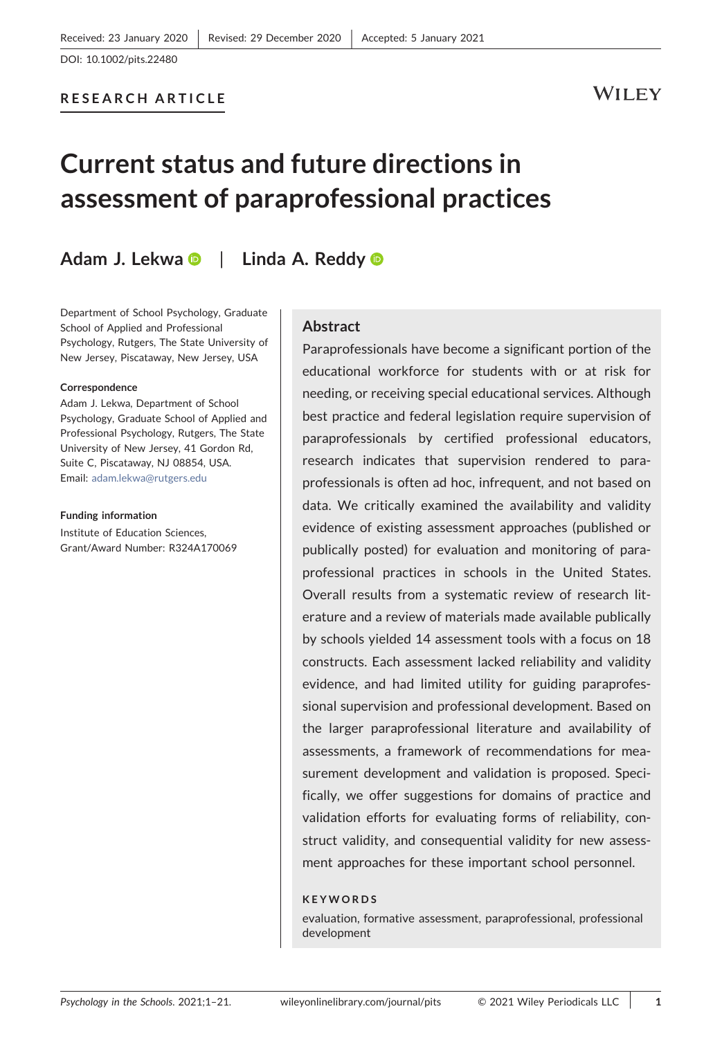# RESEARCH ARTICLE

# WILEY

# Current status and future directions in assessment of paraprofessional practices

# Ad[a](http://orcid.org/0000-0002-6870-7948)m J. Lekwa **D** | Linda A. Reddy **D**

Department of School Psychology, Graduate School of Applied and Professional Psychology, Rutgers, The State University of New Jersey, Piscataway, New Jersey, USA

#### Correspondence

Adam J. Lekwa, Department of School Psychology, Graduate School of Applied and Professional Psychology, Rutgers, The State University of New Jersey, 41 Gordon Rd, Suite C, Piscataway, NJ 08854, USA. Email: [adam.lekwa@rutgers.edu](mailto:adam.lekwa@rutgers.edu)

#### Funding information

Institute of Education Sciences, Grant/Award Number: R324A170069

# Abstract

Paraprofessionals have become a significant portion of the educational workforce for students with or at risk for needing, or receiving special educational services. Although best practice and federal legislation require supervision of paraprofessionals by certified professional educators, research indicates that supervision rendered to paraprofessionals is often ad hoc, infrequent, and not based on data. We critically examined the availability and validity evidence of existing assessment approaches (published or publically posted) for evaluation and monitoring of paraprofessional practices in schools in the United States. Overall results from a systematic review of research literature and a review of materials made available publically by schools yielded 14 assessment tools with a focus on 18 constructs. Each assessment lacked reliability and validity evidence, and had limited utility for guiding paraprofessional supervision and professional development. Based on the larger paraprofessional literature and availability of assessments, a framework of recommendations for measurement development and validation is proposed. Specifically, we offer suggestions for domains of practice and validation efforts for evaluating forms of reliability, construct validity, and consequential validity for new assessment approaches for these important school personnel.

### KEYWORDS

evaluation, formative assessment, paraprofessional, professional development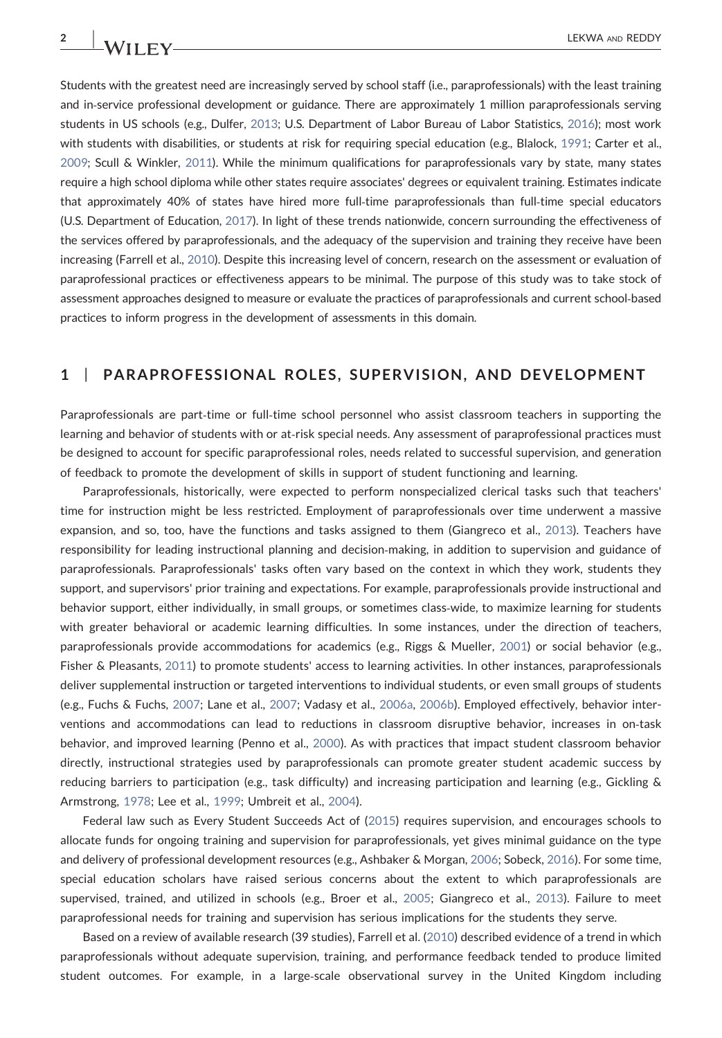Students with the greatest need are increasingly served by school staff (i.e., paraprofessionals) with the least training and in‐service professional development or guidance. There are approximately 1 million paraprofessionals serving students in US schools (e.g., Dulfer, [2013](#page-17-0); U.S. Department of Labor Bureau of Labor Statistics, [2016](#page-20-0)); most work with students with disabilities, or students at risk for requiring special education (e.g., Blalock, [1991;](#page-17-1) Carter et al., [2009;](#page-17-2) Scull & Winkler, [2011\)](#page-19-0). While the minimum qualifications for paraprofessionals vary by state, many states require a high school diploma while other states require associates' degrees or equivalent training. Estimates indicate that approximately 40% of states have hired more full‐time paraprofessionals than full‐time special educators (U.S. Department of Education, [2017\)](#page-20-1). In light of these trends nationwide, concern surrounding the effectiveness of the services offered by paraprofessionals, and the adequacy of the supervision and training they receive have been increasing (Farrell et al., [2010\)](#page-17-3). Despite this increasing level of concern, research on the assessment or evaluation of paraprofessional practices or effectiveness appears to be minimal. The purpose of this study was to take stock of assessment approaches designed to measure or evaluate the practices of paraprofessionals and current school‐based practices to inform progress in the development of assessments in this domain.

## 1 | PARAPROFESSIONAL ROLES, SUPERVISION, AND DEVELOPMENT

Paraprofessionals are part‐time or full‐time school personnel who assist classroom teachers in supporting the learning and behavior of students with or at-risk special needs. Any assessment of paraprofessional practices must be designed to account for specific paraprofessional roles, needs related to successful supervision, and generation of feedback to promote the development of skills in support of student functioning and learning.

Paraprofessionals, historically, were expected to perform nonspecialized clerical tasks such that teachers' time for instruction might be less restricted. Employment of paraprofessionals over time underwent a massive expansion, and so, too, have the functions and tasks assigned to them (Giangreco et al., [2013\)](#page-18-0). Teachers have responsibility for leading instructional planning and decision‐making, in addition to supervision and guidance of paraprofessionals. Paraprofessionals' tasks often vary based on the context in which they work, students they support, and supervisors' prior training and expectations. For example, paraprofessionals provide instructional and behavior support, either individually, in small groups, or sometimes class-wide, to maximize learning for students with greater behavioral or academic learning difficulties. In some instances, under the direction of teachers, paraprofessionals provide accommodations for academics (e.g., Riggs & Mueller, [2001](#page-19-1)) or social behavior (e.g., Fisher & Pleasants, [2011](#page-18-1)) to promote students' access to learning activities. In other instances, paraprofessionals deliver supplemental instruction or targeted interventions to individual students, or even small groups of students (e.g., Fuchs & Fuchs, [2007](#page-18-2); Lane et al., [2007;](#page-18-3) Vadasy et al., [2006a](#page-20-2), [2006b\)](#page-20-3). Employed effectively, behavior interventions and accommodations can lead to reductions in classroom disruptive behavior, increases in on‐task behavior, and improved learning (Penno et al., [2000\)](#page-19-2). As with practices that impact student classroom behavior directly, instructional strategies used by paraprofessionals can promote greater student academic success by reducing barriers to participation (e.g., task difficulty) and increasing participation and learning (e.g., Gickling & Armstrong, [1978](#page-18-4); Lee et al., [1999;](#page-18-5) Umbreit et al., [2004](#page-20-4)).

Federal law such as Every Student Succeeds Act of [\(2015\)](#page-17-4) requires supervision, and encourages schools to allocate funds for ongoing training and supervision for paraprofessionals, yet gives minimal guidance on the type and delivery of professional development resources (e.g., Ashbaker & Morgan, [2006;](#page-17-5) Sobeck, [2016\)](#page-19-3). For some time, special education scholars have raised serious concerns about the extent to which paraprofessionals are supervised, trained, and utilized in schools (e.g., Broer et al., [2005](#page-17-6); Giangreco et al., [2013](#page-18-0)). Failure to meet paraprofessional needs for training and supervision has serious implications for the students they serve.

Based on a review of available research (39 studies), Farrell et al. ([2010](#page-17-3)) described evidence of a trend in which paraprofessionals without adequate supervision, training, and performance feedback tended to produce limited student outcomes. For example, in a large‐scale observational survey in the United Kingdom including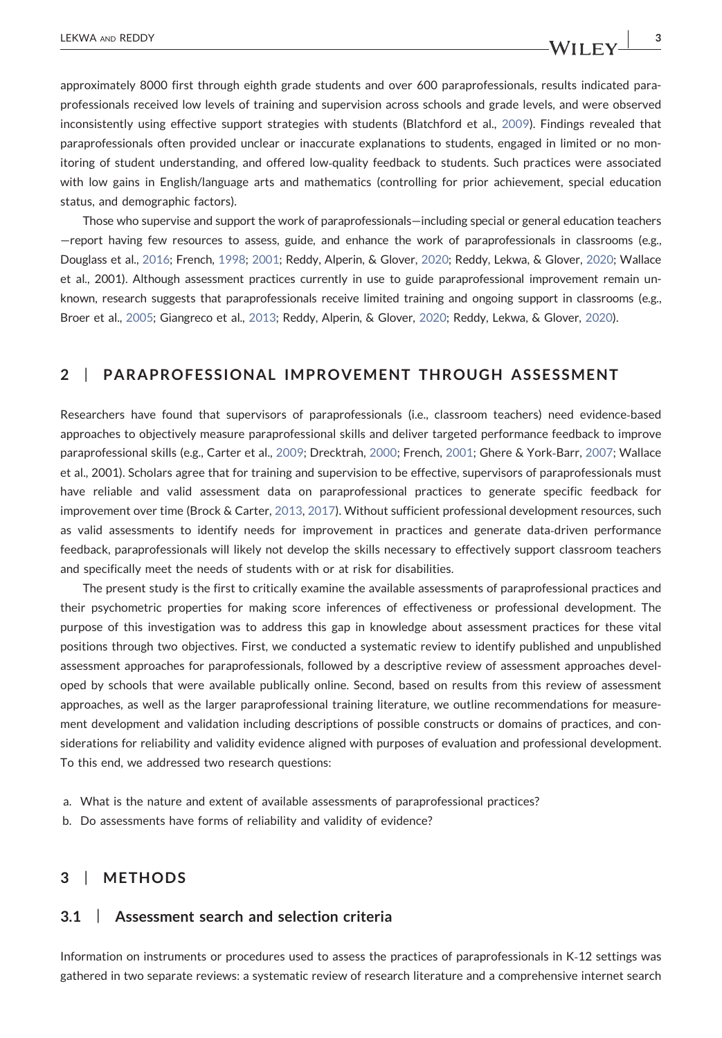approximately 8000 first through eighth grade students and over 600 paraprofessionals, results indicated paraprofessionals received low levels of training and supervision across schools and grade levels, and were observed inconsistently using effective support strategies with students (Blatchford et al., [2009\)](#page-17-7). Findings revealed that paraprofessionals often provided unclear or inaccurate explanations to students, engaged in limited or no monitoring of student understanding, and offered low‐quality feedback to students. Such practices were associated with low gains in English/language arts and mathematics (controlling for prior achievement, special education status, and demographic factors).

Those who supervise and support the work of paraprofessionals—including special or general education teachers —report having few resources to assess, guide, and enhance the work of paraprofessionals in classrooms (e.g., Douglass et al., [2016;](#page-17-8) French, [1998;](#page-18-6) [2001](#page-18-7); Reddy, Alperin, & Glover, [2020](#page-19-4); Reddy, Lekwa, & Glover, [2020;](#page-19-5) Wallace et al., 2001). Although assessment practices currently in use to guide paraprofessional improvement remain unknown, research suggests that paraprofessionals receive limited training and ongoing support in classrooms (e.g., Broer et al., [2005;](#page-17-6) Giangreco et al., [2013](#page-18-0); Reddy, Alperin, & Glover, [2020;](#page-19-4) Reddy, Lekwa, & Glover, [2020](#page-19-5)).

# 2 | PARAPROFESSIONAL IMPROVEMENT THROUGH ASSESSMENT

Researchers have found that supervisors of paraprofessionals (i.e., classroom teachers) need evidence‐based approaches to objectively measure paraprofessional skills and deliver targeted performance feedback to improve paraprofessional skills (e.g., Carter et al., [2009;](#page-17-2) Drecktrah, [2000;](#page-17-9) French, [2001;](#page-18-7) Ghere & York‐Barr, [2007;](#page-18-8) Wallace et al., 2001). Scholars agree that for training and supervision to be effective, supervisors of paraprofessionals must have reliable and valid assessment data on paraprofessional practices to generate specific feedback for improvement over time (Brock & Carter, [2013](#page-17-10), [2017](#page-17-11)). Without sufficient professional development resources, such as valid assessments to identify needs for improvement in practices and generate data‐driven performance feedback, paraprofessionals will likely not develop the skills necessary to effectively support classroom teachers and specifically meet the needs of students with or at risk for disabilities.

The present study is the first to critically examine the available assessments of paraprofessional practices and their psychometric properties for making score inferences of effectiveness or professional development. The purpose of this investigation was to address this gap in knowledge about assessment practices for these vital positions through two objectives. First, we conducted a systematic review to identify published and unpublished assessment approaches for paraprofessionals, followed by a descriptive review of assessment approaches developed by schools that were available publically online. Second, based on results from this review of assessment approaches, as well as the larger paraprofessional training literature, we outline recommendations for measurement development and validation including descriptions of possible constructs or domains of practices, and considerations for reliability and validity evidence aligned with purposes of evaluation and professional development. To this end, we addressed two research questions:

- a. What is the nature and extent of available assessments of paraprofessional practices?
- b. Do assessments have forms of reliability and validity of evidence?

# 3 | METHODS

# 3.1 | Assessment search and selection criteria

Information on instruments or procedures used to assess the practices of paraprofessionals in K‐12 settings was gathered in two separate reviews: a systematic review of research literature and a comprehensive internet search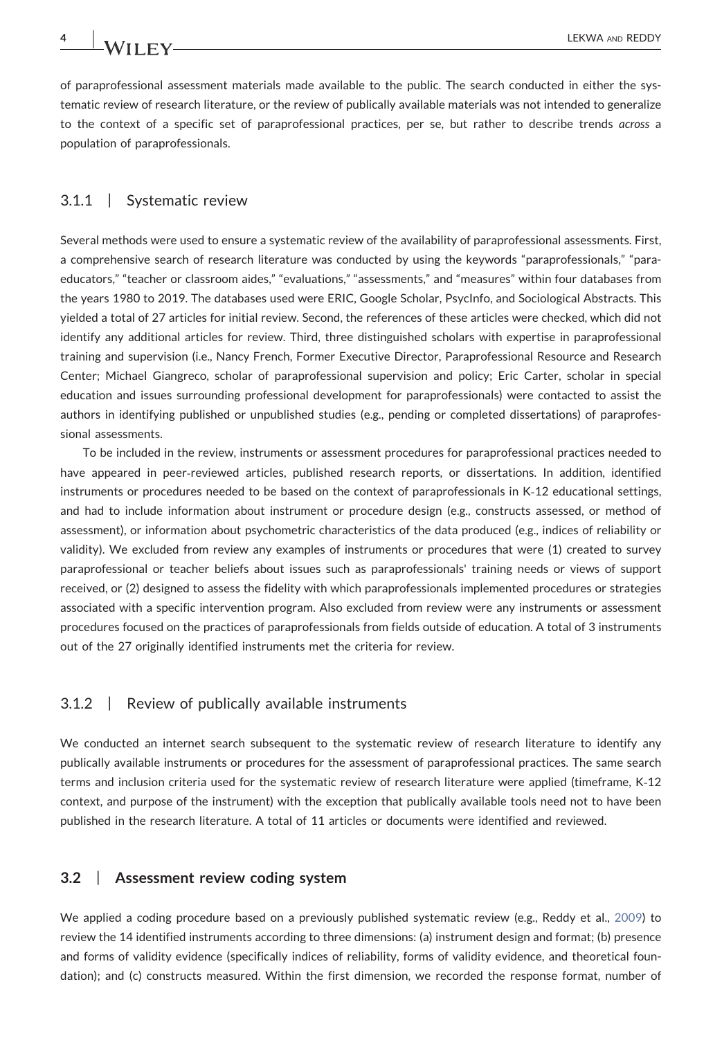of paraprofessional assessment materials made available to the public. The search conducted in either the systematic review of research literature, or the review of publically available materials was not intended to generalize to the context of a specific set of paraprofessional practices, per se, but rather to describe trends across a population of paraprofessionals.

### 3.1.1 | Systematic review

Several methods were used to ensure a systematic review of the availability of paraprofessional assessments. First, a comprehensive search of research literature was conducted by using the keywords "paraprofessionals," "paraeducators," "teacher or classroom aides," "evaluations," "assessments," and "measures" within four databases from the years 1980 to 2019. The databases used were ERIC, Google Scholar, PsycInfo, and Sociological Abstracts. This yielded a total of 27 articles for initial review. Second, the references of these articles were checked, which did not identify any additional articles for review. Third, three distinguished scholars with expertise in paraprofessional training and supervision (i.e., Nancy French, Former Executive Director, Paraprofessional Resource and Research Center; Michael Giangreco, scholar of paraprofessional supervision and policy; Eric Carter, scholar in special education and issues surrounding professional development for paraprofessionals) were contacted to assist the authors in identifying published or unpublished studies (e.g., pending or completed dissertations) of paraprofessional assessments.

To be included in the review, instruments or assessment procedures for paraprofessional practices needed to have appeared in peer‐reviewed articles, published research reports, or dissertations. In addition, identified instruments or procedures needed to be based on the context of paraprofessionals in K‐12 educational settings, and had to include information about instrument or procedure design (e.g., constructs assessed, or method of assessment), or information about psychometric characteristics of the data produced (e.g., indices of reliability or validity). We excluded from review any examples of instruments or procedures that were (1) created to survey paraprofessional or teacher beliefs about issues such as paraprofessionals' training needs or views of support received, or (2) designed to assess the fidelity with which paraprofessionals implemented procedures or strategies associated with a specific intervention program. Also excluded from review were any instruments or assessment procedures focused on the practices of paraprofessionals from fields outside of education. A total of 3 instruments out of the 27 originally identified instruments met the criteria for review.

### 3.1.2 | Review of publically available instruments

We conducted an internet search subsequent to the systematic review of research literature to identify any publically available instruments or procedures for the assessment of paraprofessional practices. The same search terms and inclusion criteria used for the systematic review of research literature were applied (timeframe, K‐12 context, and purpose of the instrument) with the exception that publically available tools need not to have been published in the research literature. A total of 11 articles or documents were identified and reviewed.

### 3.2 | Assessment review coding system

We applied a coding procedure based on a previously published systematic review (e.g., Reddy et al., [2009](#page-19-6)) to review the 14 identified instruments according to three dimensions: (a) instrument design and format; (b) presence and forms of validity evidence (specifically indices of reliability, forms of validity evidence, and theoretical foundation); and (c) constructs measured. Within the first dimension, we recorded the response format, number of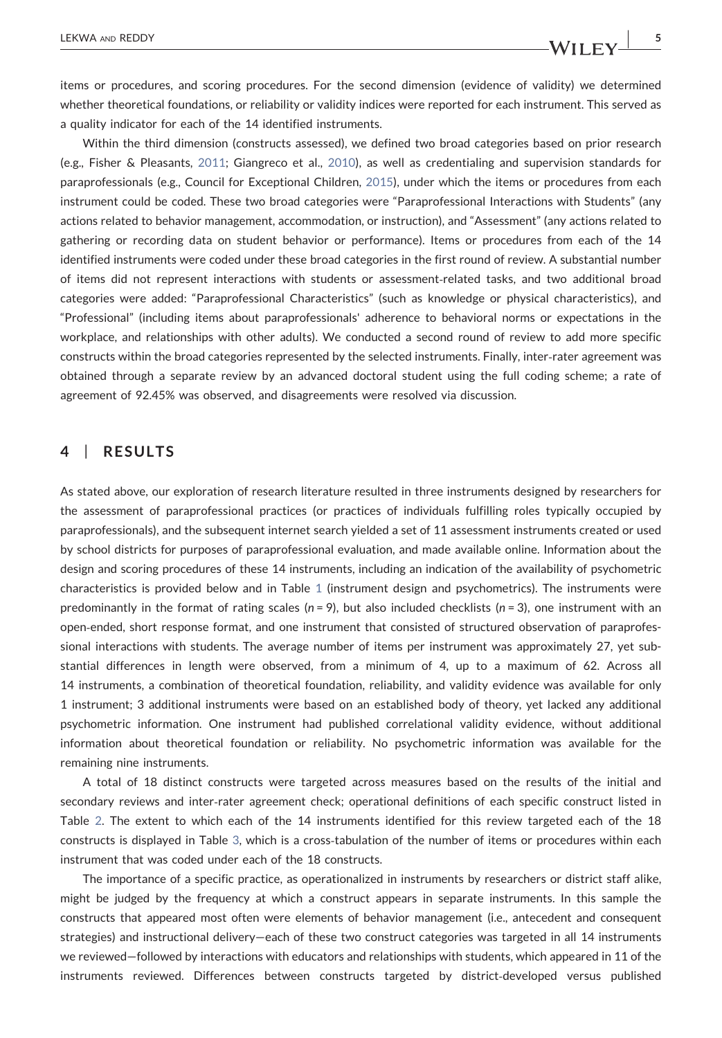items or procedures, and scoring procedures. For the second dimension (evidence of validity) we determined whether theoretical foundations, or reliability or validity indices were reported for each instrument. This served as a quality indicator for each of the 14 identified instruments.

Within the third dimension (constructs assessed), we defined two broad categories based on prior research (e.g., Fisher & Pleasants, [2011;](#page-18-1) Giangreco et al., [2010\)](#page-18-9), as well as credentialing and supervision standards for paraprofessionals (e.g., Council for Exceptional Children, [2015](#page-17-12)), under which the items or procedures from each instrument could be coded. These two broad categories were "Paraprofessional Interactions with Students" (any actions related to behavior management, accommodation, or instruction), and "Assessment" (any actions related to gathering or recording data on student behavior or performance). Items or procedures from each of the 14 identified instruments were coded under these broad categories in the first round of review. A substantial number of items did not represent interactions with students or assessment‐related tasks, and two additional broad categories were added: "Paraprofessional Characteristics" (such as knowledge or physical characteristics), and "Professional" (including items about paraprofessionals' adherence to behavioral norms or expectations in the workplace, and relationships with other adults). We conducted a second round of review to add more specific constructs within the broad categories represented by the selected instruments. Finally, inter-rater agreement was obtained through a separate review by an advanced doctoral student using the full coding scheme; a rate of agreement of 92.45% was observed, and disagreements were resolved via discussion.

# 4 | RESULTS

As stated above, our exploration of research literature resulted in three instruments designed by researchers for the assessment of paraprofessional practices (or practices of individuals fulfilling roles typically occupied by paraprofessionals), and the subsequent internet search yielded a set of 11 assessment instruments created or used by school districts for purposes of paraprofessional evaluation, and made available online. Information about the design and scoring procedures of these 14 instruments, including an indication of the availability of psychometric characteristics is provided below and in Table [1](#page-5-0) (instrument design and psychometrics). The instruments were predominantly in the format of rating scales ( $n = 9$ ), but also included checklists ( $n = 3$ ), one instrument with an open‐ended, short response format, and one instrument that consisted of structured observation of paraprofessional interactions with students. The average number of items per instrument was approximately 27, yet substantial differences in length were observed, from a minimum of 4, up to a maximum of 62. Across all 14 instruments, a combination of theoretical foundation, reliability, and validity evidence was available for only 1 instrument; 3 additional instruments were based on an established body of theory, yet lacked any additional psychometric information. One instrument had published correlational validity evidence, without additional information about theoretical foundation or reliability. No psychometric information was available for the remaining nine instruments.

A total of 18 distinct constructs were targeted across measures based on the results of the initial and secondary reviews and inter‐rater agreement check; operational definitions of each specific construct listed in Table [2](#page-6-0). The extent to which each of the 14 instruments identified for this review targeted each of the 18 constructs is displayed in Table [3,](#page-8-0) which is a cross-tabulation of the number of items or procedures within each instrument that was coded under each of the 18 constructs.

The importance of a specific practice, as operationalized in instruments by researchers or district staff alike, might be judged by the frequency at which a construct appears in separate instruments. In this sample the constructs that appeared most often were elements of behavior management (i.e., antecedent and consequent strategies) and instructional delivery—each of these two construct categories was targeted in all 14 instruments we reviewed—followed by interactions with educators and relationships with students, which appeared in 11 of the instruments reviewed. Differences between constructs targeted by district-developed versus published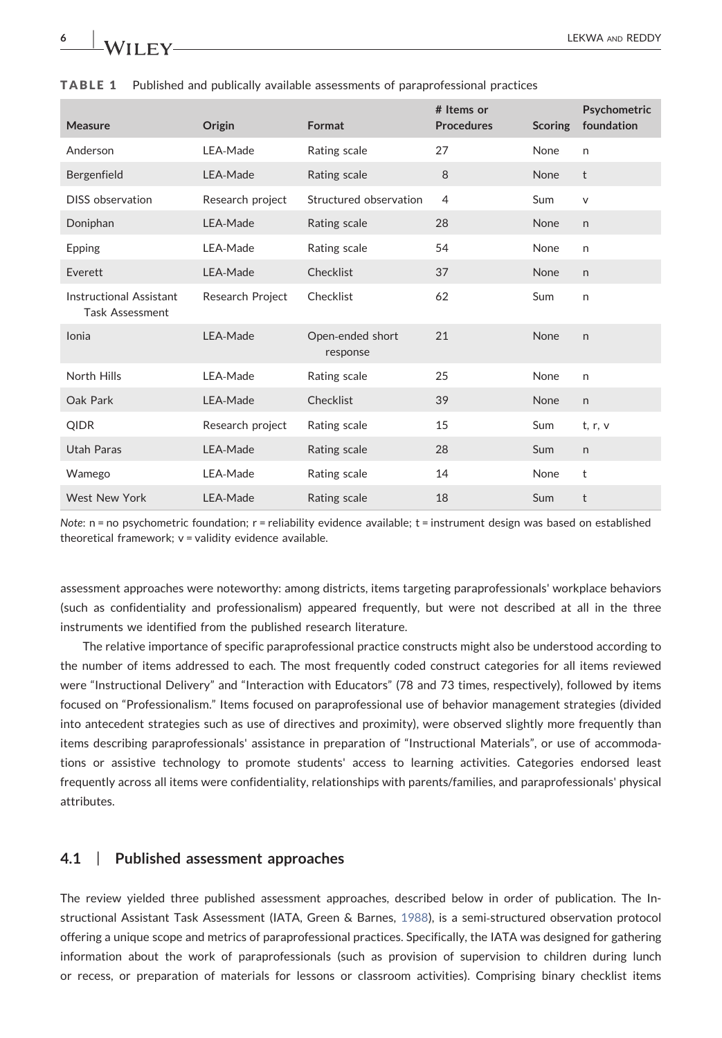

| <b>Measure</b>                                           | Origin           | Format                       | # Items or<br><b>Procedures</b> | <b>Scoring</b> | Psychometric<br>foundation |
|----------------------------------------------------------|------------------|------------------------------|---------------------------------|----------------|----------------------------|
| Anderson                                                 | LEA-Made         | Rating scale                 | 27                              | None           | $\mathsf{n}$               |
| Bergenfield                                              | LEA-Made         | Rating scale                 | 8                               | <b>None</b>    | t                          |
| <b>DISS</b> observation                                  | Research project | Structured observation       | $\overline{4}$                  | Sum            | $\vee$                     |
| Doniphan                                                 | LEA-Made         | Rating scale                 | 28                              | <b>None</b>    | $\mathsf{n}$               |
| Epping                                                   | LEA-Made         | Rating scale                 | 54                              | None           | $\mathsf{n}$               |
| Everett                                                  | LEA-Made         | Checklist                    | 37                              | <b>None</b>    | $\mathsf{n}$               |
| <b>Instructional Assistant</b><br><b>Task Assessment</b> | Research Project | Checklist                    | 62                              | Sum            | $\mathsf{n}$               |
| Ionia                                                    | LEA-Made         | Open-ended short<br>response | 21                              | None           | $\mathsf{n}$               |
| North Hills                                              | LEA-Made         | Rating scale                 | 25                              | None           | n                          |
| Oak Park                                                 | LEA-Made         | Checklist                    | 39                              | None           | $\mathsf{n}$               |
| QIDR                                                     | Research project | Rating scale                 | 15                              | Sum            | t, r, v                    |
| Utah Paras                                               | LEA-Made         | Rating scale                 | 28                              | Sum            | $\mathsf{n}$               |
| Wamego                                                   | LEA-Made         | Rating scale                 | 14                              | None           | t                          |
| West New York                                            | LEA-Made         | Rating scale                 | 18                              | Sum            | t                          |

<span id="page-5-0"></span>

|  |  |  |  |  |  | <b>TABLE 1</b> Published and publically available assessments of paraprofessional practices |  |
|--|--|--|--|--|--|---------------------------------------------------------------------------------------------|--|
|--|--|--|--|--|--|---------------------------------------------------------------------------------------------|--|

Note: n = no psychometric foundation; r = reliability evidence available; t = instrument design was based on established theoretical framework; v = validity evidence available.

assessment approaches were noteworthy: among districts, items targeting paraprofessionals' workplace behaviors (such as confidentiality and professionalism) appeared frequently, but were not described at all in the three instruments we identified from the published research literature.

The relative importance of specific paraprofessional practice constructs might also be understood according to the number of items addressed to each. The most frequently coded construct categories for all items reviewed were "Instructional Delivery" and "Interaction with Educators" (78 and 73 times, respectively), followed by items focused on "Professionalism." Items focused on paraprofessional use of behavior management strategies (divided into antecedent strategies such as use of directives and proximity), were observed slightly more frequently than items describing paraprofessionals' assistance in preparation of "Instructional Materials", or use of accommodations or assistive technology to promote students' access to learning activities. Categories endorsed least frequently across all items were confidentiality, relationships with parents/families, and paraprofessionals' physical attributes.

## 4.1 | Published assessment approaches

The review yielded three published assessment approaches, described below in order of publication. The Instructional Assistant Task Assessment (IATA, Green & Barnes, [1988\)](#page-18-10), is a semi‐structured observation protocol offering a unique scope and metrics of paraprofessional practices. Specifically, the IATA was designed for gathering information about the work of paraprofessionals (such as provision of supervision to children during lunch or recess, or preparation of materials for lessons or classroom activities). Comprising binary checklist items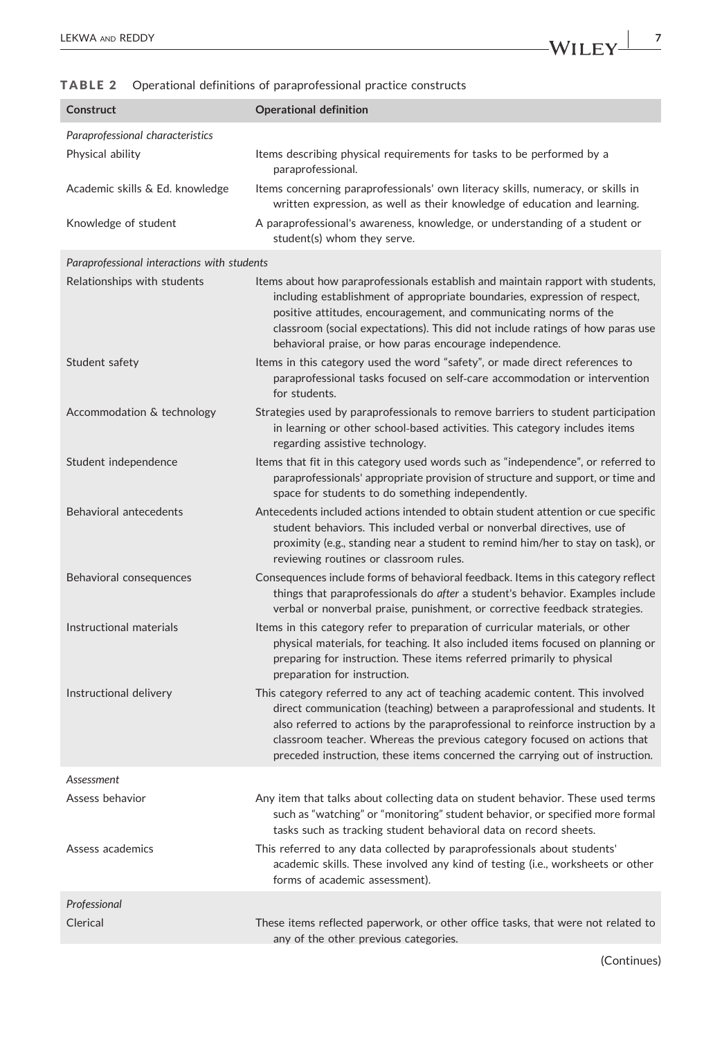LEKWA AND REDDY  $WILEY \frac{1}{7}$ 

## <span id="page-6-0"></span>TABLE 2 Operational definitions of paraprofessional practice constructs

| Construct                                            | <b>Operational definition</b>                                                                                                                                                                                                                                                                                                                                                                              |
|------------------------------------------------------|------------------------------------------------------------------------------------------------------------------------------------------------------------------------------------------------------------------------------------------------------------------------------------------------------------------------------------------------------------------------------------------------------------|
| Paraprofessional characteristics<br>Physical ability | Items describing physical requirements for tasks to be performed by a<br>paraprofessional.                                                                                                                                                                                                                                                                                                                 |
| Academic skills & Ed. knowledge                      | Items concerning paraprofessionals' own literacy skills, numeracy, or skills in<br>written expression, as well as their knowledge of education and learning.                                                                                                                                                                                                                                               |
| Knowledge of student                                 | A paraprofessional's awareness, knowledge, or understanding of a student or<br>student(s) whom they serve.                                                                                                                                                                                                                                                                                                 |
| Paraprofessional interactions with students          |                                                                                                                                                                                                                                                                                                                                                                                                            |
| Relationships with students                          | Items about how paraprofessionals establish and maintain rapport with students,<br>including establishment of appropriate boundaries, expression of respect,<br>positive attitudes, encouragement, and communicating norms of the<br>classroom (social expectations). This did not include ratings of how paras use<br>behavioral praise, or how paras encourage independence.                             |
| Student safety                                       | Items in this category used the word "safety", or made direct references to<br>paraprofessional tasks focused on self-care accommodation or intervention<br>for students.                                                                                                                                                                                                                                  |
| Accommodation & technology                           | Strategies used by paraprofessionals to remove barriers to student participation<br>in learning or other school-based activities. This category includes items<br>regarding assistive technology.                                                                                                                                                                                                          |
| Student independence                                 | Items that fit in this category used words such as "independence", or referred to<br>paraprofessionals' appropriate provision of structure and support, or time and<br>space for students to do something independently.                                                                                                                                                                                   |
| Behavioral antecedents                               | Antecedents included actions intended to obtain student attention or cue specific<br>student behaviors. This included verbal or nonverbal directives, use of<br>proximity (e.g., standing near a student to remind him/her to stay on task), or<br>reviewing routines or classroom rules.                                                                                                                  |
| Behavioral consequences                              | Consequences include forms of behavioral feedback. Items in this category reflect<br>things that paraprofessionals do after a student's behavior. Examples include<br>verbal or nonverbal praise, punishment, or corrective feedback strategies.                                                                                                                                                           |
| Instructional materials                              | Items in this category refer to preparation of curricular materials, or other<br>physical materials, for teaching. It also included items focused on planning or<br>preparing for instruction. These items referred primarily to physical<br>preparation for instruction.                                                                                                                                  |
| Instructional delivery                               | This category referred to any act of teaching academic content. This involved<br>direct communication (teaching) between a paraprofessional and students. It<br>also referred to actions by the paraprofessional to reinforce instruction by a<br>classroom teacher. Whereas the previous category focused on actions that<br>preceded instruction, these items concerned the carrying out of instruction. |
| Assessment                                           |                                                                                                                                                                                                                                                                                                                                                                                                            |
| Assess behavior                                      | Any item that talks about collecting data on student behavior. These used terms<br>such as "watching" or "monitoring" student behavior, or specified more formal<br>tasks such as tracking student behavioral data on record sheets.                                                                                                                                                                       |
| Assess academics                                     | This referred to any data collected by paraprofessionals about students'<br>academic skills. These involved any kind of testing (i.e., worksheets or other<br>forms of academic assessment).                                                                                                                                                                                                               |
| Professional                                         |                                                                                                                                                                                                                                                                                                                                                                                                            |
| Clerical                                             | These items reflected paperwork, or other office tasks, that were not related to<br>any of the other previous categories.                                                                                                                                                                                                                                                                                  |

(Continues)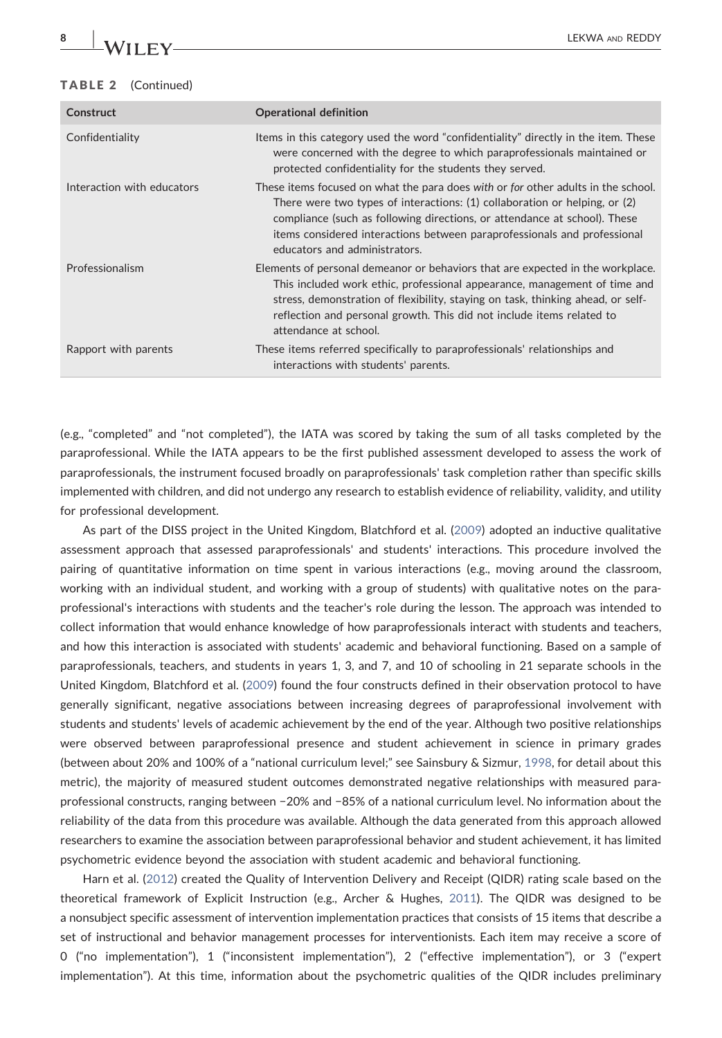| Construct                  | <b>Operational definition</b>                                                                                                                                                                                                                                                                                                                                 |
|----------------------------|---------------------------------------------------------------------------------------------------------------------------------------------------------------------------------------------------------------------------------------------------------------------------------------------------------------------------------------------------------------|
| Confidentiality            | Items in this category used the word "confidentiality" directly in the item. These<br>were concerned with the degree to which paraprofessionals maintained or<br>protected confidentiality for the students they served.                                                                                                                                      |
| Interaction with educators | These items focused on what the para does with or for other adults in the school.<br>There were two types of interactions: $(1)$ collaboration or helping, or $(2)$<br>compliance (such as following directions, or attendance at school). These<br>items considered interactions between paraprofessionals and professional<br>educators and administrators. |
| Professionalism            | Elements of personal demeanor or behaviors that are expected in the workplace.<br>This included work ethic, professional appearance, management of time and<br>stress, demonstration of flexibility, staying on task, thinking ahead, or self-<br>reflection and personal growth. This did not include items related to<br>attendance at school.              |
| Rapport with parents       | These items referred specifically to paraprofessionals' relationships and<br>interactions with students' parents.                                                                                                                                                                                                                                             |

(e.g., "completed" and "not completed"), the IATA was scored by taking the sum of all tasks completed by the paraprofessional. While the IATA appears to be the first published assessment developed to assess the work of paraprofessionals, the instrument focused broadly on paraprofessionals' task completion rather than specific skills implemented with children, and did not undergo any research to establish evidence of reliability, validity, and utility for professional development.

As part of the DISS project in the United Kingdom, Blatchford et al. ([2009\)](#page-17-7) adopted an inductive qualitative assessment approach that assessed paraprofessionals' and students' interactions. This procedure involved the pairing of quantitative information on time spent in various interactions (e.g., moving around the classroom, working with an individual student, and working with a group of students) with qualitative notes on the paraprofessional's interactions with students and the teacher's role during the lesson. The approach was intended to collect information that would enhance knowledge of how paraprofessionals interact with students and teachers, and how this interaction is associated with students' academic and behavioral functioning. Based on a sample of paraprofessionals, teachers, and students in years 1, 3, and 7, and 10 of schooling in 21 separate schools in the United Kingdom, Blatchford et al. [\(2009\)](#page-17-7) found the four constructs defined in their observation protocol to have generally significant, negative associations between increasing degrees of paraprofessional involvement with students and students' levels of academic achievement by the end of the year. Although two positive relationships were observed between paraprofessional presence and student achievement in science in primary grades (between about 20% and 100% of a "national curriculum level;" see Sainsbury & Sizmur, [1998,](#page-19-7) for detail about this metric), the majority of measured student outcomes demonstrated negative relationships with measured paraprofessional constructs, ranging between −20% and −85% of a national curriculum level. No information about the reliability of the data from this procedure was available. Although the data generated from this approach allowed researchers to examine the association between paraprofessional behavior and student achievement, it has limited psychometric evidence beyond the association with student academic and behavioral functioning.

Harn et al. [\(2012\)](#page-18-11) created the Quality of Intervention Delivery and Receipt (QIDR) rating scale based on the theoretical framework of Explicit Instruction (e.g., Archer & Hughes, [2011](#page-17-13)). The QIDR was designed to be a nonsubject specific assessment of intervention implementation practices that consists of 15 items that describe a set of instructional and behavior management processes for interventionists. Each item may receive a score of 0 ("no implementation"), 1 ("inconsistent implementation"), 2 ("effective implementation"), or 3 ("expert implementation"). At this time, information about the psychometric qualities of the QIDR includes preliminary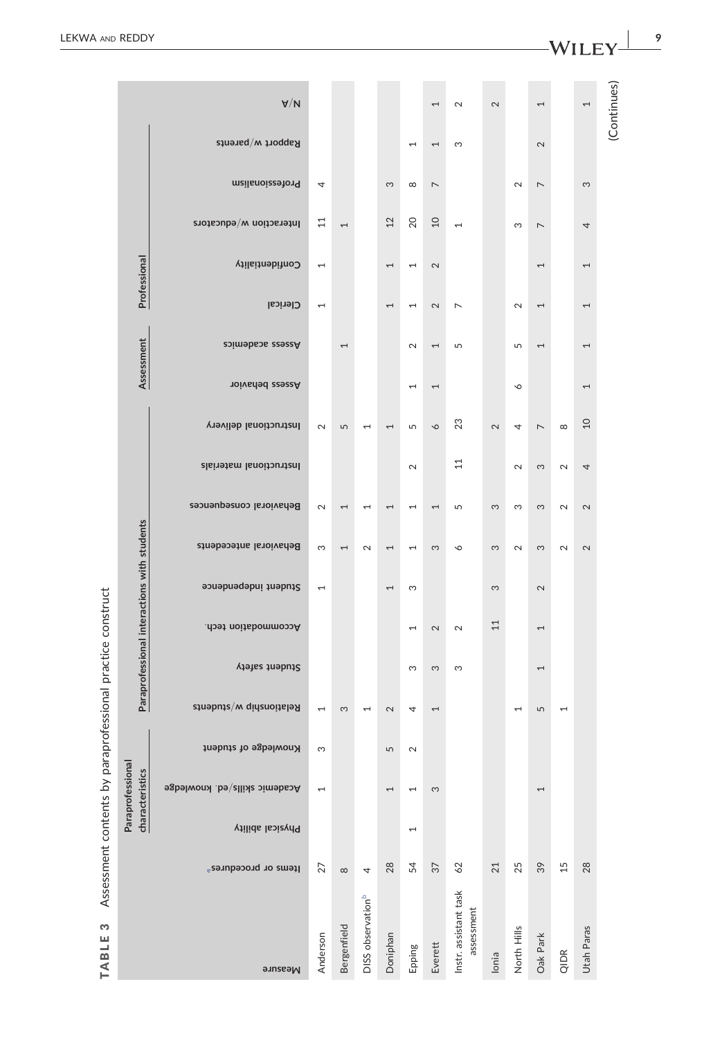| WILEY |  |  |
|-------|--|--|
|       |  |  |

|

TABLE 3 Assessment contents by paraprofessional practice construct

TABLE 3

Assessment contents by paraprofessional practice construct

<span id="page-8-0"></span>

|                                             | $A\setminus V$                   |                          |                          |                               |                |                          | Ţ                 | $\mathbf{\Omega}$                   | 2                 |                          | 1                 |          | 1              |             |
|---------------------------------------------|----------------------------------|--------------------------|--------------------------|-------------------------------|----------------|--------------------------|-------------------|-------------------------------------|-------------------|--------------------------|-------------------|----------|----------------|-------------|
|                                             |                                  |                          |                          |                               |                |                          |                   |                                     |                   |                          |                   |          |                | (Continues) |
|                                             | Rapport w/parents                |                          |                          |                               |                | $\overline{\phantom{0}}$ | 1                 | S                                   |                   |                          | $\mathbf{\Omega}$ |          |                |             |
|                                             | meilsnoizeatong                  | 4                        |                          |                               | S              | $\infty$                 | $\overline{ }$    |                                     |                   | $\sim$                   | $\overline{ }$    |          | S              |             |
|                                             | Interaction w/educators          | $\overline{11}$          | 1                        |                               | 12             | 20                       | $\Omega$          | 1                                   |                   | S                        | $\overline{ }$    |          | 4              |             |
|                                             | Confidentiality                  | $\overline{ }$           |                          |                               | $\overline{ }$ | $\overline{\phantom{0}}$ | $\mathbb{N}$      |                                     |                   |                          | I                 |          | $\overline{ }$ |             |
| Professional                                |                                  |                          |                          |                               |                |                          |                   |                                     |                   |                          |                   |          |                |             |
|                                             | <b>Clerical</b>                  | $\overline{\phantom{0}}$ |                          |                               | $\overline{ }$ | $\overline{\phantom{0}}$ | $\mathbf{\Omega}$ | $\overline{ }$                      |                   | $\sim$                   | $\overline{ }$    |          | $\overline{ }$ |             |
| Assessment                                  | Assess academics                 |                          | $\overline{ }$           |                               |                | $\mathbf{\Omega}$        | ſ                 | 5                                   |                   | 5                        | I                 |          | $\overline{ }$ |             |
|                                             | <b>Assess behavior</b>           |                          |                          |                               |                | $\overline{ }$           | $\overline{1}$    |                                     |                   | $\circ$                  |                   |          | $\overline{ }$ |             |
|                                             | <b>Princtional delivery</b>      | $\sim$                   | S                        | $\overline{\phantom{0}}$      | $\overline{ }$ | 5                        | $\mathsf{\circ}$  | 23                                  | $\mathbf{\Omega}$ | 4                        | $\overline{ }$    | $\infty$ | $\overline{a}$ |             |
|                                             |                                  |                          |                          |                               |                |                          |                   |                                     |                   |                          |                   |          |                |             |
|                                             | Instructional materials          |                          |                          |                               |                | $\mathbf{\Omega}$        |                   | $\overline{11}$                     |                   | $\mathbf{\sim}$          | S                 | $\sim$   | 4              |             |
|                                             | Behavioral consequences          | $\mathbf{\Omega}$        | $\overline{\phantom{0}}$ | ⊣                             | $\overline{ }$ | ſ                        | ſ                 | 5                                   | S                 | S                        | S                 | $\sim$   | 2              |             |
| Paraprofessional interactions with students | Behavioral antecedents           | S                        | 1                        | $\mathbf 2$                   | 1              | $\overline{ }$           | S                 | ∾                                   | S                 | $\sim$                   | S                 | $\sim$   | 2              |             |
|                                             | Student independence             | 1                        |                          |                               | $\overline{ }$ | S                        |                   |                                     | S                 |                          | $\mathbf{\Omega}$ |          |                |             |
|                                             |                                  |                          |                          |                               |                |                          |                   |                                     | 11                |                          |                   |          |                |             |
|                                             | .doemmodation tech.              |                          |                          |                               |                | 1                        | 2                 | $\mathbf 2$                         |                   |                          | $\overline{ }$    |          |                |             |
|                                             | Student safety                   |                          |                          |                               |                | S                        | S                 | S                                   |                   |                          | $\overline{ }$    |          |                |             |
|                                             | Relationship w/students          | $\overline{ }$           | S                        | $\overline{\phantom{0}}$      | $\mathbf 2$    | 4                        | 1                 |                                     |                   | $\overline{\phantom{0}}$ | 5                 | 1        |                |             |
|                                             | Knowledge of student             | S                        |                          |                               | LŊ             | $\sim$                   |                   |                                     |                   |                          |                   |          |                |             |
|                                             | Academic skills/ed. knowledge    |                          |                          |                               |                |                          |                   |                                     |                   |                          |                   |          |                |             |
| Paraprofessional<br>characteristics         |                                  | 1                        |                          |                               | 1              | 1                        | 3                 |                                     |                   |                          | 1                 |          |                |             |
|                                             | Physical ability                 |                          |                          |                               |                | 1                        |                   |                                     |                   |                          |                   |          |                |             |
|                                             | Items or procedures <sup>a</sup> | 27                       | ${}^{\circ}$             | 4                             | 28             | 54                       | 57                | 62                                  | $21$              | 25                       | 39                | 15       | 28             |             |
|                                             |                                  |                          |                          |                               |                |                          |                   |                                     |                   |                          |                   |          |                |             |
|                                             |                                  |                          |                          | DISS observation <sup>b</sup> |                |                          |                   | Instr. assistant task<br>assessment |                   |                          |                   |          |                |             |
|                                             | Measure                          | Anderson                 | Bergenfield              |                               | Doniphan       | Epping                   | Everett           |                                     | lonia             | North Hills              | Oak Park          | QIDR     | Utah Paras     |             |

9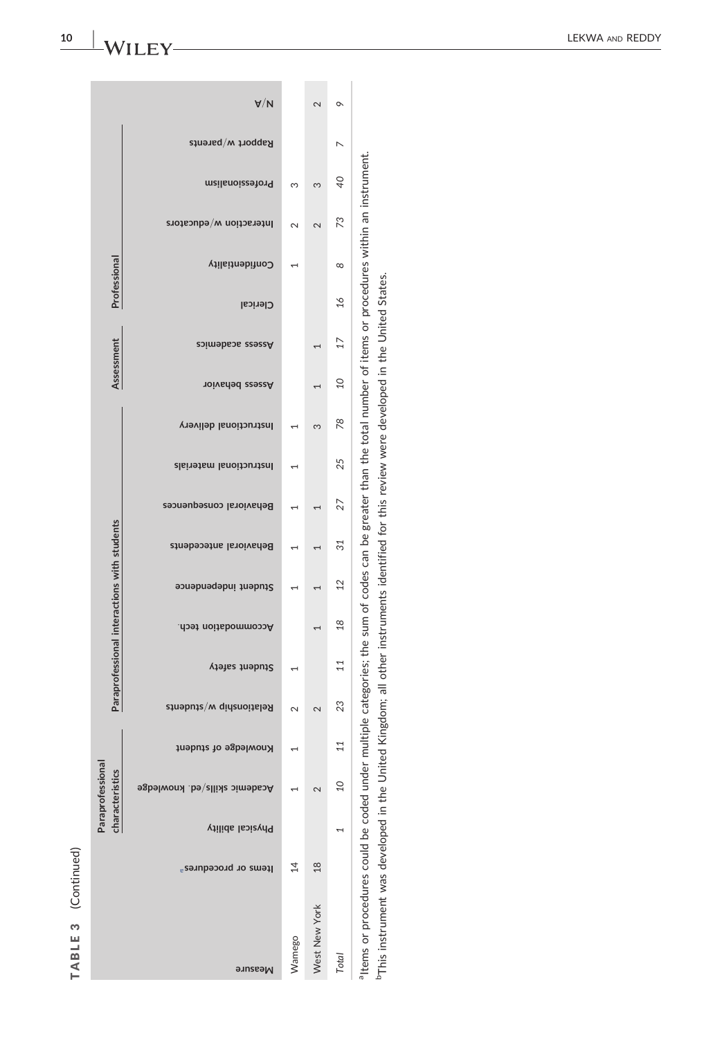(Continued) TABLE 3 (Continued) TABLE 3

|                                              |                                  |                         | Paraprofessional<br>characteristics  |                      |                         |                | Paraprofessional interactions with students                                                                           |                      |                        |                         |                         |                        | Assessment             |                 | Professional    |                 |                         |                 |                   |                |
|----------------------------------------------|----------------------------------|-------------------------|--------------------------------------|----------------------|-------------------------|----------------|-----------------------------------------------------------------------------------------------------------------------|----------------------|------------------------|-------------------------|-------------------------|------------------------|------------------------|-----------------|-----------------|-----------------|-------------------------|-----------------|-------------------|----------------|
| Measure                                      | Items or procedures <sup>a</sup> | <b>Physical ability</b> | <b>Academic skills/ed. knowledge</b> | Knowledge of student | Relationship w/students | Student safety | .doer.noitsbommooo                                                                                                    | Student independence | Behavioral antecedents | Behavioral consequences | Instructional materials | Instructional delivery | <b>Nasess behavior</b> | Psess academics | <b>Clerical</b> | Confidentiality | Interaction w/educators | meilsnoieestong | Rapport w/parents | $A\setminus V$ |
| Wamego                                       | 14                               |                         |                                      |                      | 2                       |                |                                                                                                                       |                      |                        |                         |                         |                        |                        |                 |                 |                 | 2                       | ω               |                   |                |
| West New York                                | $\frac{8}{2}$                    |                         | $\mathbf{\Omega}$                    |                      | 2                       |                | $\overline{ }$                                                                                                        |                      |                        |                         |                         | ო                      |                        |                 |                 |                 | 2                       | S               |                   | 2              |
| Total                                        |                                  |                         | $\overline{10}$                      |                      | 23                      | 11             | $^{28}$                                                                                                               | $^{12}$              | 31                     | 27                      | 25                      | 78                     | S                      | 17              | $\frac{8}{2}$   | $^{\circ}$      | 73                      | d<br>C          | ↖                 | ç              |
| altems or procedures could be coded under mu |                                  |                         |                                      |                      |                         |                | ultiple categories; the sum of codes can be greater than the total number of items or procedures within an instrument |                      |                        |                         |                         |                        |                        |                 |                 |                 |                         |                 |                   |                |

<span id="page-9-1"></span><span id="page-9-0"></span>nerms or proceeding court be concerned in the United Kingdom; all other instruments identified for this review were developed in the United States.<br>PThis instrument was developed in the United Kingdom; all other instrument bThis instrument was developed in the United Kingdom; all other instruments identified for this review were developed in the United States.

 $-WILEY$ 

10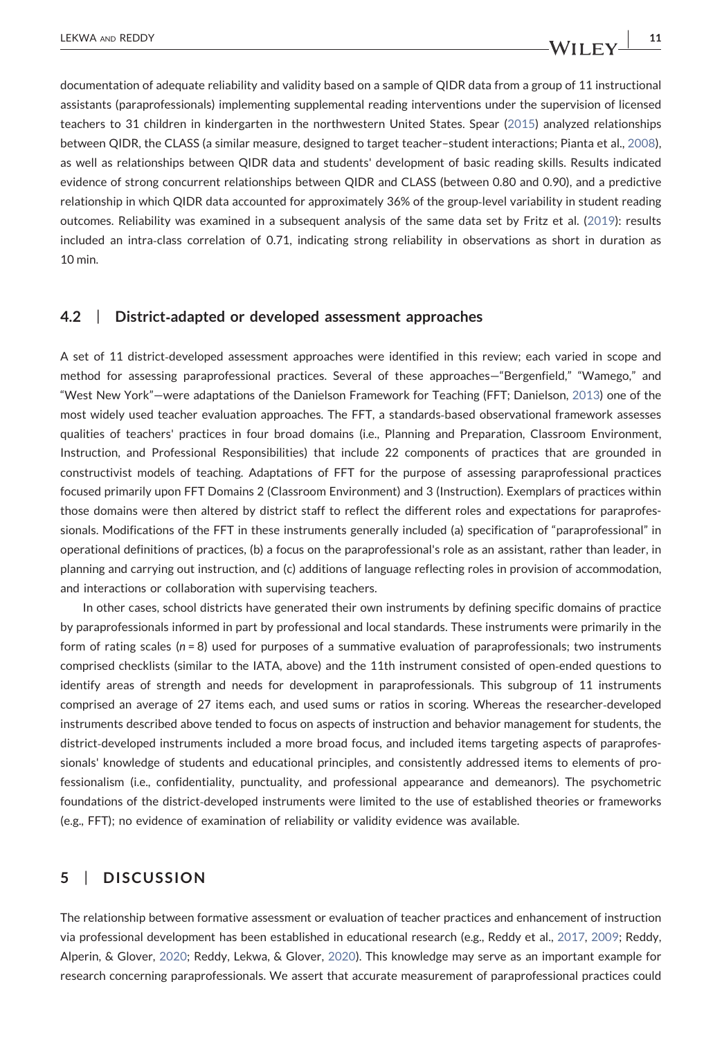documentation of adequate reliability and validity based on a sample of QIDR data from a group of 11 instructional assistants (paraprofessionals) implementing supplemental reading interventions under the supervision of licensed teachers to 31 children in kindergarten in the northwestern United States. Spear ([2015](#page-19-8)) analyzed relationships between QIDR, the CLASS (a similar measure, designed to target teacher–student interactions; Pianta et al., [2008](#page-19-9)), as well as relationships between QIDR data and students' development of basic reading skills. Results indicated evidence of strong concurrent relationships between QIDR and CLASS (between 0.80 and 0.90), and a predictive relationship in which QIDR data accounted for approximately 36% of the group-level variability in student reading outcomes. Reliability was examined in a subsequent analysis of the same data set by Fritz et al. [\(2019\)](#page-18-12): results included an intra‐class correlation of 0.71, indicating strong reliability in observations as short in duration as 10 min.

## 4.2 | District‐adapted or developed assessment approaches

A set of 11 district‐developed assessment approaches were identified in this review; each varied in scope and method for assessing paraprofessional practices. Several of these approaches—"Bergenfield," "Wamego," and "West New York"—were adaptations of the Danielson Framework for Teaching (FFT; Danielson, [2013\)](#page-17-14) one of the most widely used teacher evaluation approaches. The FFT, a standards‐based observational framework assesses qualities of teachers' practices in four broad domains (i.e., Planning and Preparation, Classroom Environment, Instruction, and Professional Responsibilities) that include 22 components of practices that are grounded in constructivist models of teaching. Adaptations of FFT for the purpose of assessing paraprofessional practices focused primarily upon FFT Domains 2 (Classroom Environment) and 3 (Instruction). Exemplars of practices within those domains were then altered by district staff to reflect the different roles and expectations for paraprofessionals. Modifications of the FFT in these instruments generally included (a) specification of "paraprofessional" in operational definitions of practices, (b) a focus on the paraprofessional's role as an assistant, rather than leader, in planning and carrying out instruction, and (c) additions of language reflecting roles in provision of accommodation, and interactions or collaboration with supervising teachers.

In other cases, school districts have generated their own instruments by defining specific domains of practice by paraprofessionals informed in part by professional and local standards. These instruments were primarily in the form of rating scales ( $n = 8$ ) used for purposes of a summative evaluation of paraprofessionals; two instruments comprised checklists (similar to the IATA, above) and the 11th instrument consisted of open‐ended questions to identify areas of strength and needs for development in paraprofessionals. This subgroup of 11 instruments comprised an average of 27 items each, and used sums or ratios in scoring. Whereas the researcher‐developed instruments described above tended to focus on aspects of instruction and behavior management for students, the district-developed instruments included a more broad focus, and included items targeting aspects of paraprofessionals' knowledge of students and educational principles, and consistently addressed items to elements of professionalism (i.e., confidentiality, punctuality, and professional appearance and demeanors). The psychometric foundations of the district‐developed instruments were limited to the use of established theories or frameworks (e.g., FFT); no evidence of examination of reliability or validity evidence was available.

# 5 | DISCUSSION

The relationship between formative assessment or evaluation of teacher practices and enhancement of instruction via professional development has been established in educational research (e.g., Reddy et al., [2017,](#page-19-10) [2009;](#page-19-6) Reddy, Alperin, & Glover, [2020;](#page-19-4) Reddy, Lekwa, & Glover, [2020\)](#page-19-5). This knowledge may serve as an important example for research concerning paraprofessionals. We assert that accurate measurement of paraprofessional practices could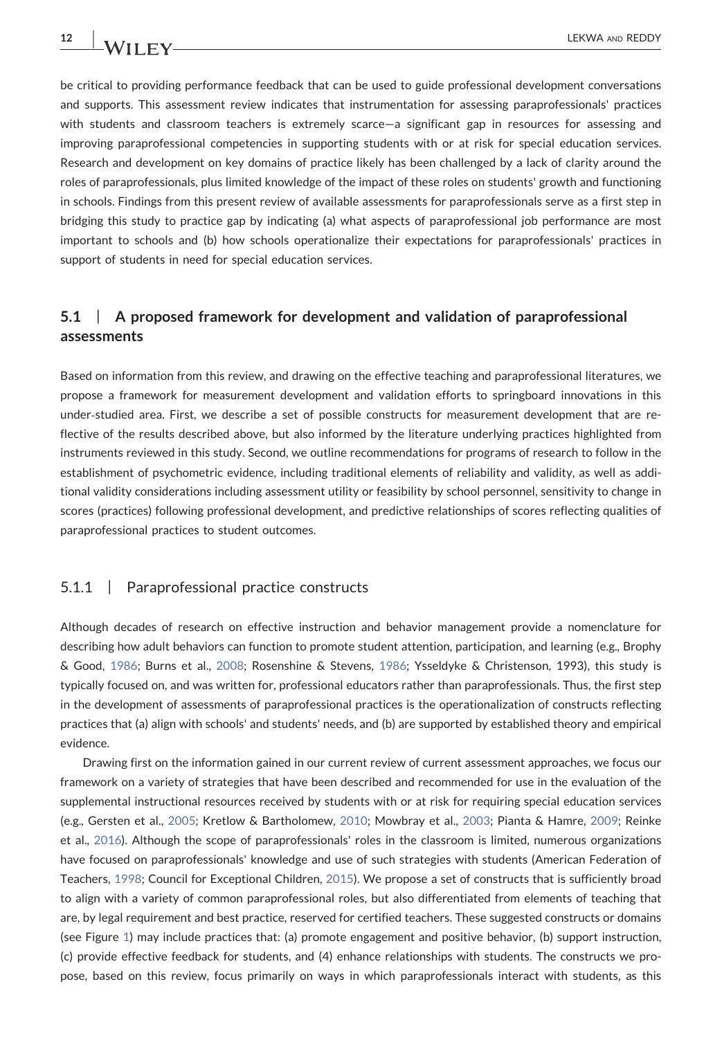be critical to providing performance feedback that can be used to guide professional development conversations and supports. This assessment review indicates that instrumentation for assessing paraprofessionals' practices with students and classroom teachers is extremely scarce—a significant gap in resources for assessing and improving paraprofessional competencies in supporting students with or at risk for special education services. Research and development on key domains of practice likely has been challenged by a lack of clarity around the roles of paraprofessionals, plus limited knowledge of the impact of these roles on students' growth and functioning in schools. Findings from this present review of available assessments for paraprofessionals serve as a first step in bridging this study to practice gap by indicating (a) what aspects of paraprofessional job performance are most important to schools and (b) how schools operationalize their expectations for paraprofessionals' practices in support of students in need for special education services.

# 5.1 | A proposed framework for development and validation of paraprofessional assessments

Based on information from this review, and drawing on the effective teaching and paraprofessional literatures, we propose a framework for measurement development and validation efforts to springboard innovations in this under‐studied area. First, we describe a set of possible constructs for measurement development that are reflective of the results described above, but also informed by the literature underlying practices highlighted from instruments reviewed in this study. Second, we outline recommendations for programs of research to follow in the establishment of psychometric evidence, including traditional elements of reliability and validity, as well as additional validity considerations including assessment utility or feasibility by school personnel, sensitivity to change in scores (practices) following professional development, and predictive relationships of scores reflecting qualities of paraprofessional practices to student outcomes.

# 5.1.1 | Paraprofessional practice constructs

Although decades of research on effective instruction and behavior management provide a nomenclature for describing how adult behaviors can function to promote student attention, participation, and learning (e.g., Brophy & Good, [1986](#page-17-15); Burns et al., [2008;](#page-17-16) Rosenshine & Stevens, [1986;](#page-19-11) Ysseldyke & Christenson, 1993), this study is typically focused on, and was written for, professional educators rather than paraprofessionals. Thus, the first step in the development of assessments of paraprofessional practices is the operationalization of constructs reflecting practices that (a) align with schools' and students' needs, and (b) are supported by established theory and empirical evidence.

Drawing first on the information gained in our current review of current assessment approaches, we focus our framework on a variety of strategies that have been described and recommended for use in the evaluation of the supplemental instructional resources received by students with or at risk for requiring special education services (e.g., Gersten et al., [2005](#page-18-13); Kretlow & Bartholomew, [2010;](#page-18-14) Mowbray et al., [2003](#page-19-12); Pianta & Hamre, [2009](#page-19-13); Reinke et al., [2016\)](#page-19-14). Although the scope of paraprofessionals' roles in the classroom is limited, numerous organizations have focused on paraprofessionals' knowledge and use of such strategies with students (American Federation of Teachers, [1998](#page-17-17); Council for Exceptional Children, [2015](#page-17-12)). We propose a set of constructs that is sufficiently broad to align with a variety of common paraprofessional roles, but also differentiated from elements of teaching that are, by legal requirement and best practice, reserved for certified teachers. These suggested constructs or domains (see Figure [1](#page-12-0)) may include practices that: (a) promote engagement and positive behavior, (b) support instruction, (c) provide effective feedback for students, and (4) enhance relationships with students. The constructs we propose, based on this review, focus primarily on ways in which paraprofessionals interact with students, as this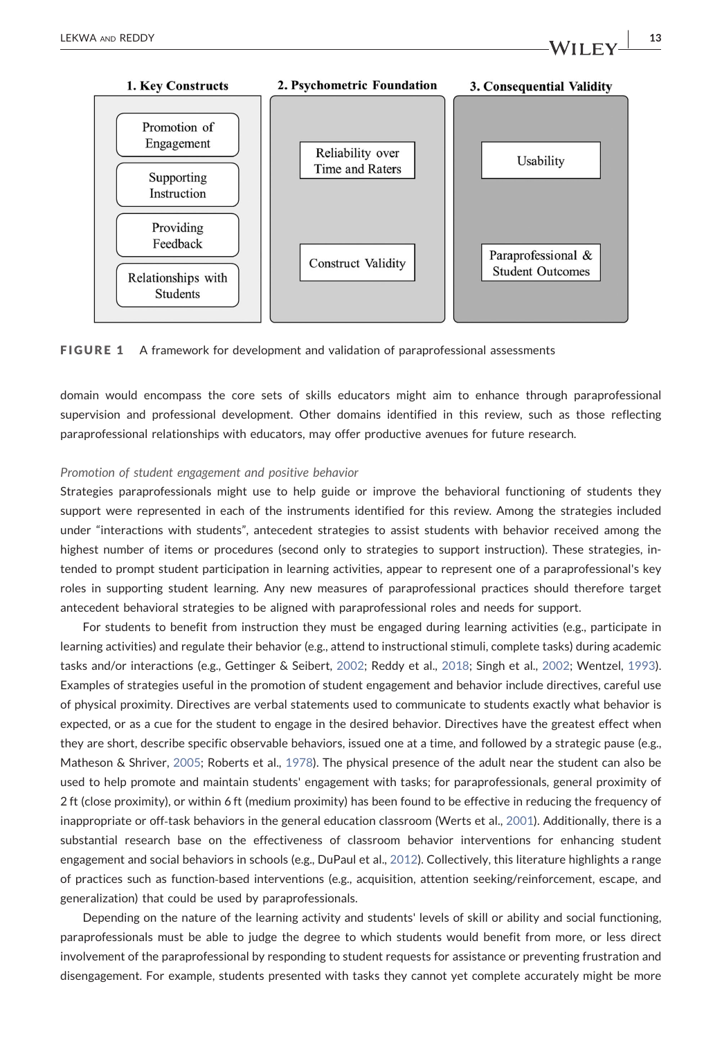

<span id="page-12-0"></span>

FIGURE 1 A framework for development and validation of paraprofessional assessments

domain would encompass the core sets of skills educators might aim to enhance through paraprofessional supervision and professional development. Other domains identified in this review, such as those reflecting paraprofessional relationships with educators, may offer productive avenues for future research.

### Promotion of student engagement and positive behavior

Strategies paraprofessionals might use to help guide or improve the behavioral functioning of students they support were represented in each of the instruments identified for this review. Among the strategies included under "interactions with students", antecedent strategies to assist students with behavior received among the highest number of items or procedures (second only to strategies to support instruction). These strategies, intended to prompt student participation in learning activities, appear to represent one of a paraprofessional's key roles in supporting student learning. Any new measures of paraprofessional practices should therefore target antecedent behavioral strategies to be aligned with paraprofessional roles and needs for support.

For students to benefit from instruction they must be engaged during learning activities (e.g., participate in learning activities) and regulate their behavior (e.g., attend to instructional stimuli, complete tasks) during academic tasks and/or interactions (e.g., Gettinger & Seibert, [2002;](#page-18-15) Reddy et al., [2018](#page-19-15); Singh et al., [2002;](#page-19-16) Wentzel, [1993](#page-20-5)). Examples of strategies useful in the promotion of student engagement and behavior include directives, careful use of physical proximity. Directives are verbal statements used to communicate to students exactly what behavior is expected, or as a cue for the student to engage in the desired behavior. Directives have the greatest effect when they are short, describe specific observable behaviors, issued one at a time, and followed by a strategic pause (e.g., Matheson & Shriver, [2005;](#page-18-16) Roberts et al., [1978](#page-19-17)). The physical presence of the adult near the student can also be used to help promote and maintain students' engagement with tasks; for paraprofessionals, general proximity of 2 ft (close proximity), or within 6 ft (medium proximity) has been found to be effective in reducing the frequency of inappropriate or off-task behaviors in the general education classroom (Werts et al., [2001](#page-20-6)). Additionally, there is a substantial research base on the effectiveness of classroom behavior interventions for enhancing student engagement and social behaviors in schools (e.g., DuPaul et al., [2012](#page-17-18)). Collectively, this literature highlights a range of practices such as function‐based interventions (e.g., acquisition, attention seeking/reinforcement, escape, and generalization) that could be used by paraprofessionals.

Depending on the nature of the learning activity and students' levels of skill or ability and social functioning, paraprofessionals must be able to judge the degree to which students would benefit from more, or less direct involvement of the paraprofessional by responding to student requests for assistance or preventing frustration and disengagement. For example, students presented with tasks they cannot yet complete accurately might be more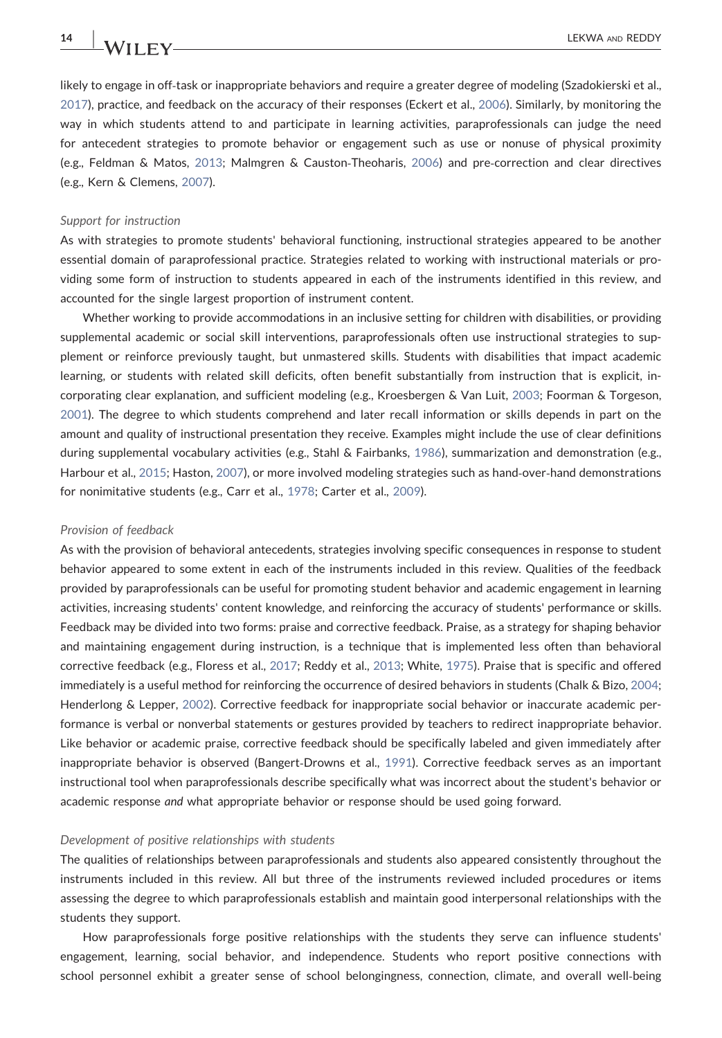likely to engage in off-task or inappropriate behaviors and require a greater degree of modeling (Szadokierski et al., [2017](#page-20-7)), practice, and feedback on the accuracy of their responses (Eckert et al., [2006\)](#page-17-19). Similarly, by monitoring the way in which students attend to and participate in learning activities, paraprofessionals can judge the need for antecedent strategies to promote behavior or engagement such as use or nonuse of physical proximity (e.g., Feldman & Matos, [2013](#page-17-20); Malmgren & Causton‐Theoharis, [2006\)](#page-18-17) and pre‐correction and clear directives (e.g., Kern & Clemens, [2007\)](#page-18-18).

### Support for instruction

As with strategies to promote students' behavioral functioning, instructional strategies appeared to be another essential domain of paraprofessional practice. Strategies related to working with instructional materials or providing some form of instruction to students appeared in each of the instruments identified in this review, and accounted for the single largest proportion of instrument content.

Whether working to provide accommodations in an inclusive setting for children with disabilities, or providing supplemental academic or social skill interventions, paraprofessionals often use instructional strategies to supplement or reinforce previously taught, but unmastered skills. Students with disabilities that impact academic learning, or students with related skill deficits, often benefit substantially from instruction that is explicit, incorporating clear explanation, and sufficient modeling (e.g., Kroesbergen & Van Luit, [2003](#page-18-19); Foorman & Torgeson, [2001](#page-18-20)). The degree to which students comprehend and later recall information or skills depends in part on the amount and quality of instructional presentation they receive. Examples might include the use of clear definitions during supplemental vocabulary activities (e.g., Stahl & Fairbanks, [1986\)](#page-19-18), summarization and demonstration (e.g., Harbour et al., [2015;](#page-18-21) Haston, [2007\)](#page-18-22), or more involved modeling strategies such as hand‐over‐hand demonstrations for nonimitative students (e.g., Carr et al., [1978](#page-17-21); Carter et al., [2009](#page-17-2)).

### Provision of feedback

As with the provision of behavioral antecedents, strategies involving specific consequences in response to student behavior appeared to some extent in each of the instruments included in this review. Qualities of the feedback provided by paraprofessionals can be useful for promoting student behavior and academic engagement in learning activities, increasing students' content knowledge, and reinforcing the accuracy of students' performance or skills. Feedback may be divided into two forms: praise and corrective feedback. Praise, as a strategy for shaping behavior and maintaining engagement during instruction, is a technique that is implemented less often than behavioral corrective feedback (e.g., Floress et al., [2017;](#page-18-23) Reddy et al., [2013](#page-19-19); White, [1975](#page-20-8)). Praise that is specific and offered immediately is a useful method for reinforcing the occurrence of desired behaviors in students (Chalk & Bizo, [2004](#page-17-22); Henderlong & Lepper, [2002](#page-18-24)). Corrective feedback for inappropriate social behavior or inaccurate academic performance is verbal or nonverbal statements or gestures provided by teachers to redirect inappropriate behavior. Like behavior or academic praise, corrective feedback should be specifically labeled and given immediately after inappropriate behavior is observed (Bangert‐Drowns et al., [1991\)](#page-17-23). Corrective feedback serves as an important instructional tool when paraprofessionals describe specifically what was incorrect about the student's behavior or academic response and what appropriate behavior or response should be used going forward.

### Development of positive relationships with students

The qualities of relationships between paraprofessionals and students also appeared consistently throughout the instruments included in this review. All but three of the instruments reviewed included procedures or items assessing the degree to which paraprofessionals establish and maintain good interpersonal relationships with the students they support.

How paraprofessionals forge positive relationships with the students they serve can influence students' engagement, learning, social behavior, and independence. Students who report positive connections with school personnel exhibit a greater sense of school belongingness, connection, climate, and overall well‐being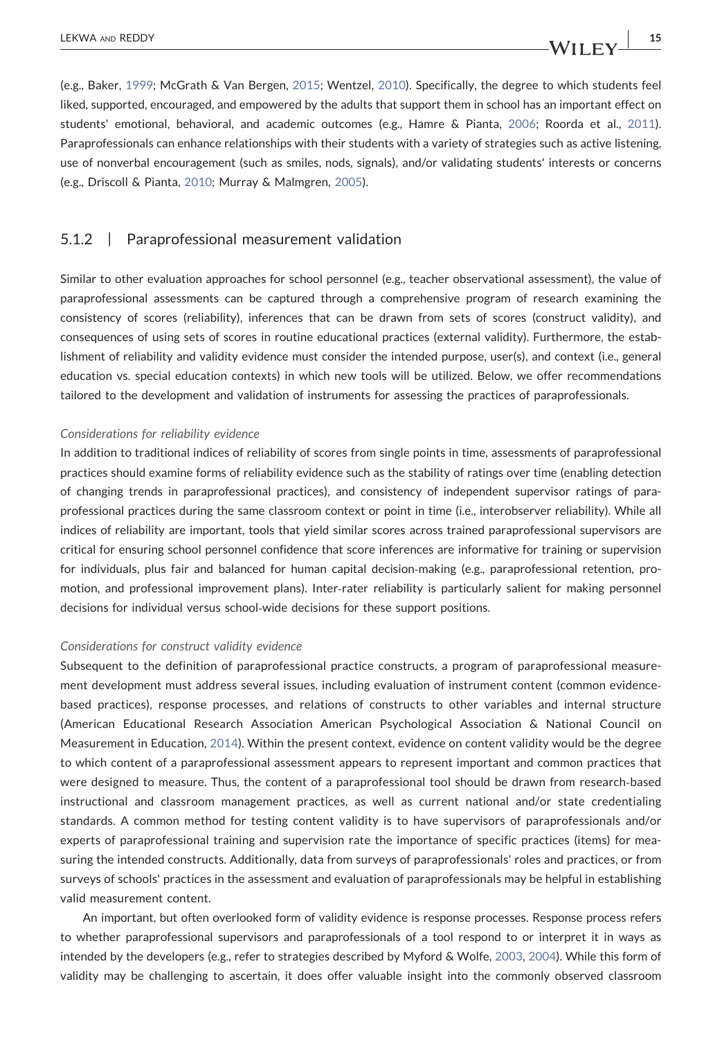(e.g., Baker, [1999;](#page-17-24) McGrath & Van Bergen, [2015](#page-19-20); Wentzel, [2010](#page-20-9)). Specifically, the degree to which students feel liked, supported, encouraged, and empowered by the adults that support them in school has an important effect on students' emotional, behavioral, and academic outcomes (e.g., Hamre & Pianta, [2006;](#page-18-25) Roorda et al., [2011](#page-19-21)). Paraprofessionals can enhance relationships with their students with a variety of strategies such as active listening, use of nonverbal encouragement (such as smiles, nods, signals), and/or validating students' interests or concerns (e.g., Driscoll & Pianta, [2010](#page-17-25); Murray & Malmgren, [2005](#page-19-22)).

# 5.1.2 | Paraprofessional measurement validation

Similar to other evaluation approaches for school personnel (e.g., teacher observational assessment), the value of paraprofessional assessments can be captured through a comprehensive program of research examining the consistency of scores (reliability), inferences that can be drawn from sets of scores (construct validity), and consequences of using sets of scores in routine educational practices (external validity). Furthermore, the establishment of reliability and validity evidence must consider the intended purpose, user(s), and context (i.e., general education vs. special education contexts) in which new tools will be utilized. Below, we offer recommendations tailored to the development and validation of instruments for assessing the practices of paraprofessionals.

### Considerations for reliability evidence

In addition to traditional indices of reliability of scores from single points in time, assessments of paraprofessional practices should examine forms of reliability evidence such as the stability of ratings over time (enabling detection of changing trends in paraprofessional practices), and consistency of independent supervisor ratings of paraprofessional practices during the same classroom context or point in time (i.e., interobserver reliability). While all indices of reliability are important, tools that yield similar scores across trained paraprofessional supervisors are critical for ensuring school personnel confidence that score inferences are informative for training or supervision for individuals, plus fair and balanced for human capital decision-making (e.g., paraprofessional retention, promotion, and professional improvement plans). Inter-rater reliability is particularly salient for making personnel decisions for individual versus school‐wide decisions for these support positions.

#### Considerations for construct validity evidence

Subsequent to the definition of paraprofessional practice constructs, a program of paraprofessional measurement development must address several issues, including evaluation of instrument content (common evidence‐ based practices), response processes, and relations of constructs to other variables and internal structure (American Educational Research Association American Psychological Association & National Council on Measurement in Education, [2014\)](#page-17-26). Within the present context, evidence on content validity would be the degree to which content of a paraprofessional assessment appears to represent important and common practices that were designed to measure. Thus, the content of a paraprofessional tool should be drawn from research‐based instructional and classroom management practices, as well as current national and/or state credentialing standards. A common method for testing content validity is to have supervisors of paraprofessionals and/or experts of paraprofessional training and supervision rate the importance of specific practices (items) for measuring the intended constructs. Additionally, data from surveys of paraprofessionals' roles and practices, or from surveys of schools' practices in the assessment and evaluation of paraprofessionals may be helpful in establishing valid measurement content.

An important, but often overlooked form of validity evidence is response processes. Response process refers to whether paraprofessional supervisors and paraprofessionals of a tool respond to or interpret it in ways as intended by the developers (e.g., refer to strategies described by Myford & Wolfe, [2003](#page-19-23), [2004](#page-19-24)). While this form of validity may be challenging to ascertain, it does offer valuable insight into the commonly observed classroom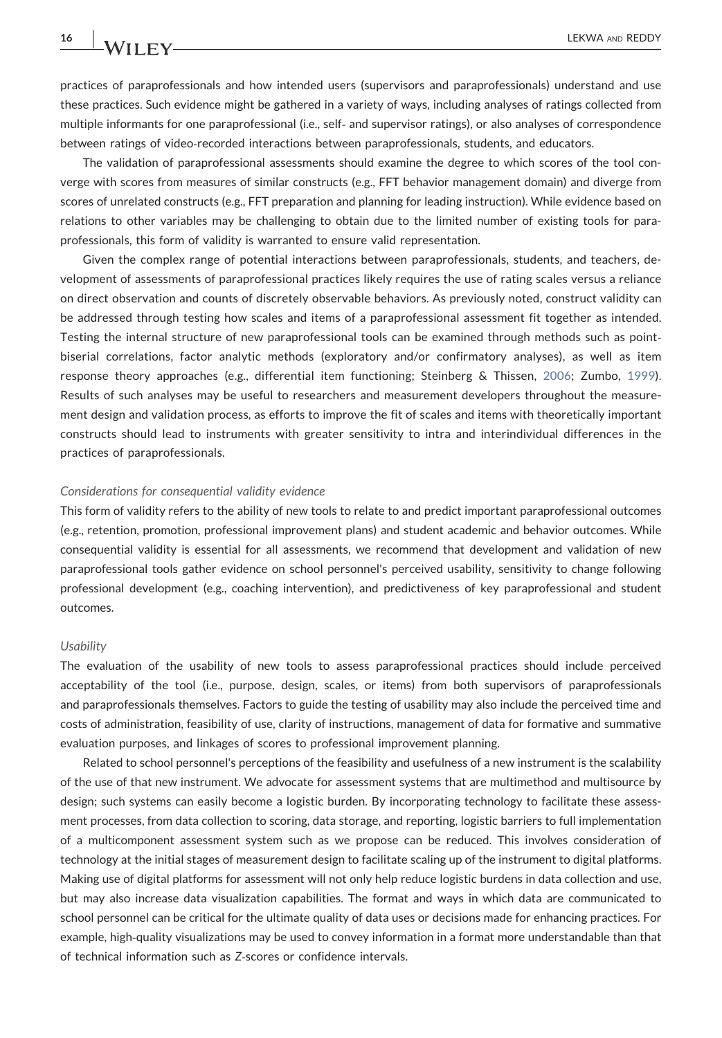practices of paraprofessionals and how intended users (supervisors and paraprofessionals) understand and use these practices. Such evidence might be gathered in a variety of ways, including analyses of ratings collected from multiple informants for one paraprofessional (i.e., self‐ and supervisor ratings), or also analyses of correspondence between ratings of video-recorded interactions between paraprofessionals, students, and educators.

The validation of paraprofessional assessments should examine the degree to which scores of the tool converge with scores from measures of similar constructs (e.g., FFT behavior management domain) and diverge from scores of unrelated constructs (e.g., FFT preparation and planning for leading instruction). While evidence based on relations to other variables may be challenging to obtain due to the limited number of existing tools for paraprofessionals, this form of validity is warranted to ensure valid representation.

Given the complex range of potential interactions between paraprofessionals, students, and teachers, development of assessments of paraprofessional practices likely requires the use of rating scales versus a reliance on direct observation and counts of discretely observable behaviors. As previously noted, construct validity can be addressed through testing how scales and items of a paraprofessional assessment fit together as intended. Testing the internal structure of new paraprofessional tools can be examined through methods such as point‐ biserial correlations, factor analytic methods (exploratory and/or confirmatory analyses), as well as item response theory approaches (e.g., differential item functioning; Steinberg & Thissen, [2006;](#page-19-25) Zumbo, [1999\)](#page-20-10). Results of such analyses may be useful to researchers and measurement developers throughout the measurement design and validation process, as efforts to improve the fit of scales and items with theoretically important constructs should lead to instruments with greater sensitivity to intra and interindividual differences in the practices of paraprofessionals.

### Considerations for consequential validity evidence

This form of validity refers to the ability of new tools to relate to and predict important paraprofessional outcomes (e.g., retention, promotion, professional improvement plans) and student academic and behavior outcomes. While consequential validity is essential for all assessments, we recommend that development and validation of new paraprofessional tools gather evidence on school personnel's perceived usability, sensitivity to change following professional development (e.g., coaching intervention), and predictiveness of key paraprofessional and student outcomes.

#### **Usability**

The evaluation of the usability of new tools to assess paraprofessional practices should include perceived acceptability of the tool (i.e., purpose, design, scales, or items) from both supervisors of paraprofessionals and paraprofessionals themselves. Factors to guide the testing of usability may also include the perceived time and costs of administration, feasibility of use, clarity of instructions, management of data for formative and summative evaluation purposes, and linkages of scores to professional improvement planning.

Related to school personnel's perceptions of the feasibility and usefulness of a new instrument is the scalability of the use of that new instrument. We advocate for assessment systems that are multimethod and multisource by design; such systems can easily become a logistic burden. By incorporating technology to facilitate these assessment processes, from data collection to scoring, data storage, and reporting, logistic barriers to full implementation of a multicomponent assessment system such as we propose can be reduced. This involves consideration of technology at the initial stages of measurement design to facilitate scaling up of the instrument to digital platforms. Making use of digital platforms for assessment will not only help reduce logistic burdens in data collection and use, but may also increase data visualization capabilities. The format and ways in which data are communicated to school personnel can be critical for the ultimate quality of data uses or decisions made for enhancing practices. For example, high‐quality visualizations may be used to convey information in a format more understandable than that of technical information such as Z‐scores or confidence intervals.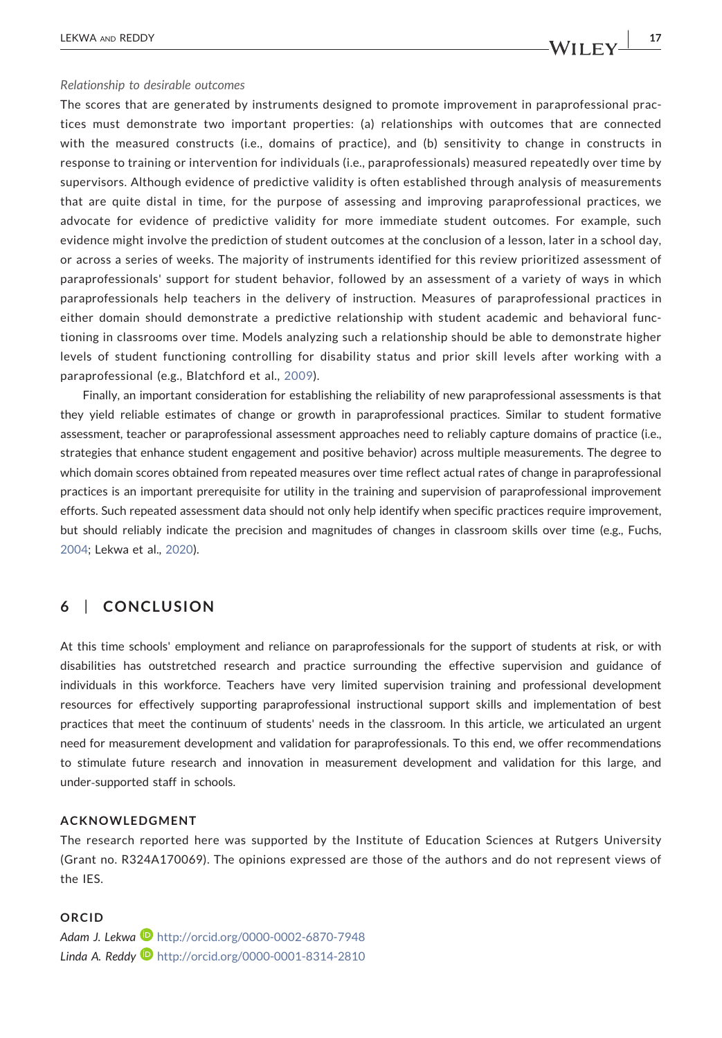#### Relationship to desirable outcomes

The scores that are generated by instruments designed to promote improvement in paraprofessional practices must demonstrate two important properties: (a) relationships with outcomes that are connected with the measured constructs (i.e., domains of practice), and (b) sensitivity to change in constructs in response to training or intervention for individuals (i.e., paraprofessionals) measured repeatedly over time by supervisors. Although evidence of predictive validity is often established through analysis of measurements that are quite distal in time, for the purpose of assessing and improving paraprofessional practices, we advocate for evidence of predictive validity for more immediate student outcomes. For example, such evidence might involve the prediction of student outcomes at the conclusion of a lesson, later in a school day, or across a series of weeks. The majority of instruments identified for this review prioritized assessment of paraprofessionals' support for student behavior, followed by an assessment of a variety of ways in which paraprofessionals help teachers in the delivery of instruction. Measures of paraprofessional practices in either domain should demonstrate a predictive relationship with student academic and behavioral functioning in classrooms over time. Models analyzing such a relationship should be able to demonstrate higher levels of student functioning controlling for disability status and prior skill levels after working with a paraprofessional (e.g., Blatchford et al., [2009](#page-17-7)).

Finally, an important consideration for establishing the reliability of new paraprofessional assessments is that they yield reliable estimates of change or growth in paraprofessional practices. Similar to student formative assessment, teacher or paraprofessional assessment approaches need to reliably capture domains of practice (i.e., strategies that enhance student engagement and positive behavior) across multiple measurements. The degree to which domain scores obtained from repeated measures over time reflect actual rates of change in paraprofessional practices is an important prerequisite for utility in the training and supervision of paraprofessional improvement efforts. Such repeated assessment data should not only help identify when specific practices require improvement, but should reliably indicate the precision and magnitudes of changes in classroom skills over time (e.g., Fuchs, [2004](#page-18-26); Lekwa et al., [2020\)](#page-18-27).

# 6 | CONCLUSION

At this time schools' employment and reliance on paraprofessionals for the support of students at risk, or with disabilities has outstretched research and practice surrounding the effective supervision and guidance of individuals in this workforce. Teachers have very limited supervision training and professional development resources for effectively supporting paraprofessional instructional support skills and implementation of best practices that meet the continuum of students' needs in the classroom. In this article, we articulated an urgent need for measurement development and validation for paraprofessionals. To this end, we offer recommendations to stimulate future research and innovation in measurement development and validation for this large, and under‐supported staff in schools.

### ACKNOWLEDGMENT

The research reported here was supported by the Institute of Education Sciences at Rutgers University (Grant no. R324A170069). The opinions expressed are those of the authors and do not represent views of the IES.

### ORCID

Adam J. Lekwa **b** <http://orcid.org/0000-0002-6870-7948> Linda A. Reddy <sup>1</sup> <http://orcid.org/0000-0001-8314-2810>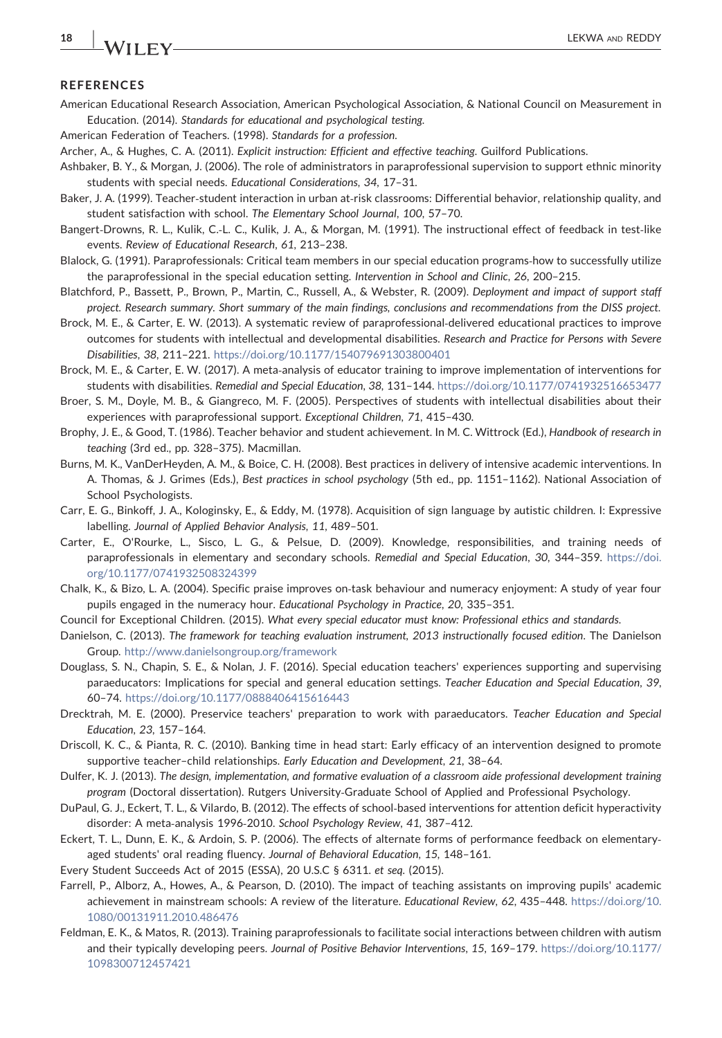# **REFERENCES**

- <span id="page-17-26"></span>American Educational Research Association, American Psychological Association, & National Council on Measurement in Education. (2014). Standards for educational and psychological testing.
- <span id="page-17-17"></span>American Federation of Teachers. (1998). Standards for a profession.
- <span id="page-17-13"></span>Archer, A., & Hughes, C. A. (2011). Explicit instruction: Efficient and effective teaching. Guilford Publications.
- <span id="page-17-5"></span>Ashbaker, B. Y., & Morgan, J. (2006). The role of administrators in paraprofessional supervision to support ethnic minority students with special needs. Educational Considerations, 34, 17–31.
- <span id="page-17-24"></span>Baker, J. A. (1999). Teacher‐student interaction in urban at‐risk classrooms: Differential behavior, relationship quality, and student satisfaction with school. The Elementary School Journal, 100, 57–70.
- <span id="page-17-23"></span>Bangert‐Drowns, R. L., Kulik, C.‐L. C., Kulik, J. A., & Morgan, M. (1991). The instructional effect of feedback in test‐like events. Review of Educational Research, 61, 213–238.
- <span id="page-17-1"></span>Blalock, G. (1991). Paraprofessionals: Critical team members in our special education programs‐how to successfully utilize the paraprofessional in the special education setting. Intervention in School and Clinic, 26, 200–215.
- <span id="page-17-7"></span>Blatchford, P., Bassett, P., Brown, P., Martin, C., Russell, A., & Webster, R. (2009). Deployment and impact of support staff project. Research summary. Short summary of the main findings, conclusions and recommendations from the DISS project.
- <span id="page-17-10"></span>Brock, M. E., & Carter, E. W. (2013). A systematic review of paraprofessional‐delivered educational practices to improve outcomes for students with intellectual and developmental disabilities. Research and Practice for Persons with Severe Disabilities, 38, 211–221. <https://doi.org/10.1177/154079691303800401>
- <span id="page-17-11"></span>Brock, M. E., & Carter, E. W. (2017). A meta‐analysis of educator training to improve implementation of interventions for students with disabilities. Remedial and Special Education, 38, 131–144. <https://doi.org/10.1177/0741932516653477>
- <span id="page-17-6"></span>Broer, S. M., Doyle, M. B., & Giangreco, M. F. (2005). Perspectives of students with intellectual disabilities about their experiences with paraprofessional support. Exceptional Children, 71, 415–430.
- <span id="page-17-15"></span>Brophy, J. E., & Good, T. (1986). Teacher behavior and student achievement. In M. C. Wittrock (Ed.), Handbook of research in teaching (3rd ed., pp. 328–375). Macmillan.
- <span id="page-17-16"></span>Burns, M. K., VanDerHeyden, A. M., & Boice, C. H. (2008). Best practices in delivery of intensive academic interventions. In A. Thomas, & J. Grimes (Eds.), Best practices in school psychology (5th ed., pp. 1151–1162). National Association of School Psychologists.
- <span id="page-17-21"></span>Carr, E. G., Binkoff, J. A., Kologinsky, E., & Eddy, M. (1978). Acquisition of sign language by autistic children. I: Expressive labelling. Journal of Applied Behavior Analysis, 11, 489–501.
- <span id="page-17-2"></span>Carter, E., O'Rourke, L., Sisco, L. G., & Pelsue, D. (2009). Knowledge, responsibilities, and training needs of paraprofessionals in elementary and secondary schools. Remedial and Special Education, 30, 344–359. [https://doi.](https://doi.org/10.1177/0741932508324399) [org/10.1177/0741932508324399](https://doi.org/10.1177/0741932508324399)
- <span id="page-17-22"></span>Chalk, K., & Bizo, L. A. (2004). Specific praise improves on‐task behaviour and numeracy enjoyment: A study of year four pupils engaged in the numeracy hour. Educational Psychology in Practice, 20, 335–351.
- <span id="page-17-12"></span>Council for Exceptional Children. (2015). What every special educator must know: Professional ethics and standards.
- <span id="page-17-14"></span>Danielson, C. (2013). The framework for teaching evaluation instrument, 2013 instructionally focused edition. The Danielson Group. <http://www.danielsongroup.org/framework>
- <span id="page-17-8"></span>Douglass, S. N., Chapin, S. E., & Nolan, J. F. (2016). Special education teachers' experiences supporting and supervising paraeducators: Implications for special and general education settings. Teacher Education and Special Education, 39, 60–74. <https://doi.org/10.1177/0888406415616443>
- <span id="page-17-9"></span>Drecktrah, M. E. (2000). Preservice teachers' preparation to work with paraeducators. Teacher Education and Special Education, 23, 157–164.
- <span id="page-17-25"></span>Driscoll, K. C., & Pianta, R. C. (2010). Banking time in head start: Early efficacy of an intervention designed to promote supportive teacher–child relationships. Early Education and Development, 21, 38–64.
- <span id="page-17-0"></span>Dulfer, K. J. (2013). The design, implementation, and formative evaluation of a classroom aide professional development training program (Doctoral dissertation). Rutgers University‐Graduate School of Applied and Professional Psychology.
- <span id="page-17-18"></span>DuPaul, G. J., Eckert, T. L., & Vilardo, B. (2012). The effects of school‐based interventions for attention deficit hyperactivity disorder: A meta‐analysis 1996‐2010. School Psychology Review, 41, 387–412.
- <span id="page-17-19"></span>Eckert, T. L., Dunn, E. K., & Ardoin, S. P. (2006). The effects of alternate forms of performance feedback on elementary‐ aged students' oral reading fluency. Journal of Behavioral Education, 15, 148–161.
- <span id="page-17-4"></span>Every Student Succeeds Act of 2015 (ESSA), 20 U.S.C § 6311. et seq. (2015).
- <span id="page-17-3"></span>Farrell, P., Alborz, A., Howes, A., & Pearson, D. (2010). The impact of teaching assistants on improving pupils' academic achievement in mainstream schools: A review of the literature. Educational Review, 62, 435–448. [https://doi.org/10.](https://doi.org/10.1080/00131911.2010.486476) [1080/00131911.2010.486476](https://doi.org/10.1080/00131911.2010.486476)
- <span id="page-17-20"></span>Feldman, E. K., & Matos, R. (2013). Training paraprofessionals to facilitate social interactions between children with autism and their typically developing peers. Journal of Positive Behavior Interventions, 15, 169–179. [https://doi.org/10.1177/](https://doi.org/10.1177/1098300712457421) [1098300712457421](https://doi.org/10.1177/1098300712457421)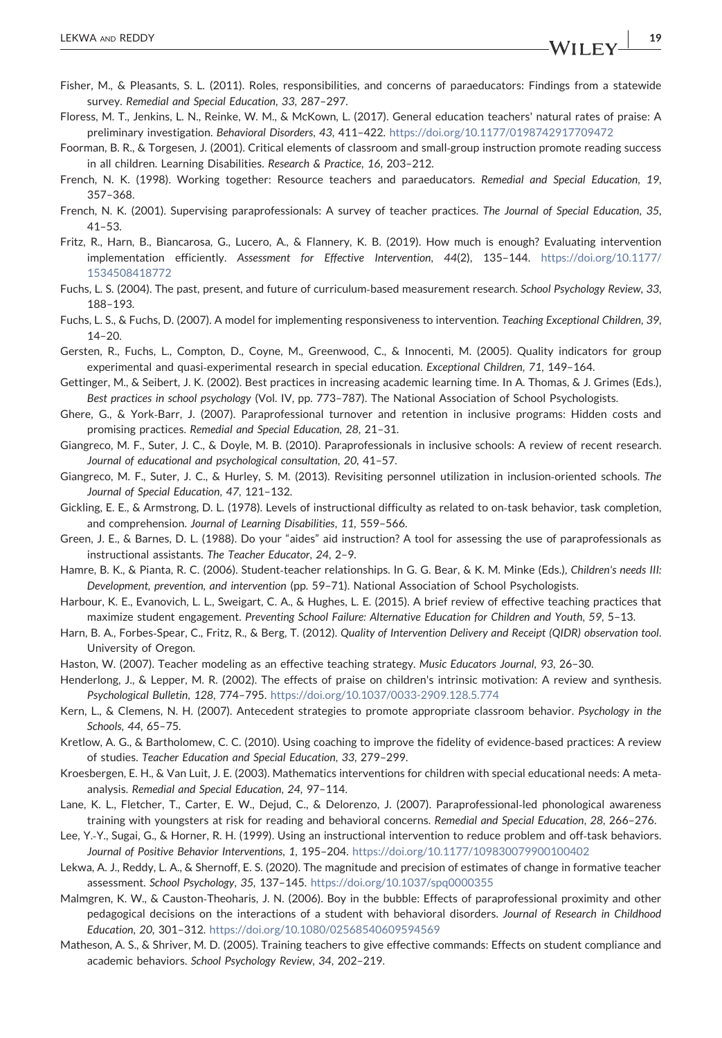- <span id="page-18-1"></span>Fisher, M., & Pleasants, S. L. (2011). Roles, responsibilities, and concerns of paraeducators: Findings from a statewide survey. Remedial and Special Education, 33, 287–297.
- <span id="page-18-23"></span>Floress, M. T., Jenkins, L. N., Reinke, W. M., & McKown, L. (2017). General education teachers' natural rates of praise: A preliminary investigation. Behavioral Disorders, 43, 411–422. <https://doi.org/10.1177/0198742917709472>
- <span id="page-18-20"></span>Foorman, B. R., & Torgesen, J. (2001). Critical elements of classroom and small‐group instruction promote reading success in all children. Learning Disabilities. Research & Practice, 16, 203–212.
- <span id="page-18-6"></span>French, N. K. (1998). Working together: Resource teachers and paraeducators. Remedial and Special Education, 19, 357–368.
- <span id="page-18-7"></span>French, N. K. (2001). Supervising paraprofessionals: A survey of teacher practices. The Journal of Special Education, 35, 41–53.
- <span id="page-18-12"></span>Fritz, R., Harn, B., Biancarosa, G., Lucero, A., & Flannery, K. B. (2019). How much is enough? Evaluating intervention implementation efficiently. Assessment for Effective Intervention, 44(2), 135–144. [https://doi.org/10.1177/](https://doi.org/10.1177/1534508418772) [1534508418772](https://doi.org/10.1177/1534508418772)
- <span id="page-18-26"></span>Fuchs, L. S. (2004). The past, present, and future of curriculum‐based measurement research. School Psychology Review, 33, 188–193.
- <span id="page-18-2"></span>Fuchs, L. S., & Fuchs, D. (2007). A model for implementing responsiveness to intervention. Teaching Exceptional Children, 39, 14–20.
- <span id="page-18-13"></span>Gersten, R., Fuchs, L., Compton, D., Coyne, M., Greenwood, C., & Innocenti, M. (2005). Quality indicators for group experimental and quasi-experimental research in special education. Exceptional Children, 71, 149-164.
- <span id="page-18-15"></span>Gettinger, M., & Seibert, J. K. (2002). Best practices in increasing academic learning time. In A. Thomas, & J. Grimes (Eds.), Best practices in school psychology (Vol. IV, pp. 773–787). The National Association of School Psychologists.
- <span id="page-18-8"></span>Ghere, G., & York‐Barr, J. (2007). Paraprofessional turnover and retention in inclusive programs: Hidden costs and promising practices. Remedial and Special Education, 28, 21–31.
- <span id="page-18-9"></span>Giangreco, M. F., Suter, J. C., & Doyle, M. B. (2010). Paraprofessionals in inclusive schools: A review of recent research. Journal of educational and psychological consultation, 20, 41–57.
- <span id="page-18-0"></span>Giangreco, M. F., Suter, J. C., & Hurley, S. M. (2013). Revisiting personnel utilization in inclusion‐oriented schools. The Journal of Special Education, 47, 121–132.
- <span id="page-18-4"></span>Gickling, E. E., & Armstrong, D. L. (1978). Levels of instructional difficulty as related to on‐task behavior, task completion, and comprehension. Journal of Learning Disabilities, 11, 559–566.
- <span id="page-18-10"></span>Green, J. E., & Barnes, D. L. (1988). Do your "aides" aid instruction? A tool for assessing the use of paraprofessionals as instructional assistants. The Teacher Educator, 24, 2–9.
- <span id="page-18-25"></span>Hamre, B. K., & Pianta, R. C. (2006). Student‐teacher relationships. In G. G. Bear, & K. M. Minke (Eds.), Children's needs III: Development, prevention, and intervention (pp. 59–71). National Association of School Psychologists.
- <span id="page-18-21"></span>Harbour, K. E., Evanovich, L. L., Sweigart, C. A., & Hughes, L. E. (2015). A brief review of effective teaching practices that maximize student engagement. Preventing School Failure: Alternative Education for Children and Youth, 59, 5–13.
- <span id="page-18-11"></span>Harn, B. A., Forbes‐Spear, C., Fritz, R., & Berg, T. (2012). Quality of Intervention Delivery and Receipt (QIDR) observation tool. University of Oregon.
- <span id="page-18-22"></span>Haston, W. (2007). Teacher modeling as an effective teaching strategy. Music Educators Journal, 93, 26–30.
- <span id="page-18-24"></span>Henderlong, J., & Lepper, M. R. (2002). The effects of praise on children's intrinsic motivation: A review and synthesis. Psychological Bulletin, 128, 774–795. <https://doi.org/10.1037/0033-2909.128.5.774>
- <span id="page-18-18"></span>Kern, L., & Clemens, N. H. (2007). Antecedent strategies to promote appropriate classroom behavior. Psychology in the Schools, 44, 65–75.
- <span id="page-18-14"></span>Kretlow, A. G., & Bartholomew, C. C. (2010). Using coaching to improve the fidelity of evidence‐based practices: A review of studies. Teacher Education and Special Education, 33, 279–299.
- <span id="page-18-19"></span>Kroesbergen, E. H., & Van Luit, J. E. (2003). Mathematics interventions for children with special educational needs: A meta‐ analysis. Remedial and Special Education, 24, 97–114.
- <span id="page-18-3"></span>Lane, K. L., Fletcher, T., Carter, E. W., Dejud, C., & Delorenzo, J. (2007). Paraprofessional‐led phonological awareness training with youngsters at risk for reading and behavioral concerns. Remedial and Special Education, 28, 266–276.
- <span id="page-18-5"></span>Lee, Y.-Y., Sugai, G., & Horner, R. H. (1999). Using an instructional intervention to reduce problem and off-task behaviors. Journal of Positive Behavior Interventions, 1, 195–204. <https://doi.org/10.1177/109830079900100402>
- <span id="page-18-27"></span>Lekwa, A. J., Reddy, L. A., & Shernoff, E. S. (2020). The magnitude and precision of estimates of change in formative teacher assessment. School Psychology, 35, 137–145. <https://doi.org/10.1037/spq0000355>
- <span id="page-18-17"></span>Malmgren, K. W., & Causton-Theoharis, J. N. (2006). Boy in the bubble: Effects of paraprofessional proximity and other pedagogical decisions on the interactions of a student with behavioral disorders. Journal of Research in Childhood Education, 20, 301–312. <https://doi.org/10.1080/02568540609594569>
- <span id="page-18-16"></span>Matheson, A. S., & Shriver, M. D. (2005). Training teachers to give effective commands: Effects on student compliance and academic behaviors. School Psychology Review, 34, 202–219.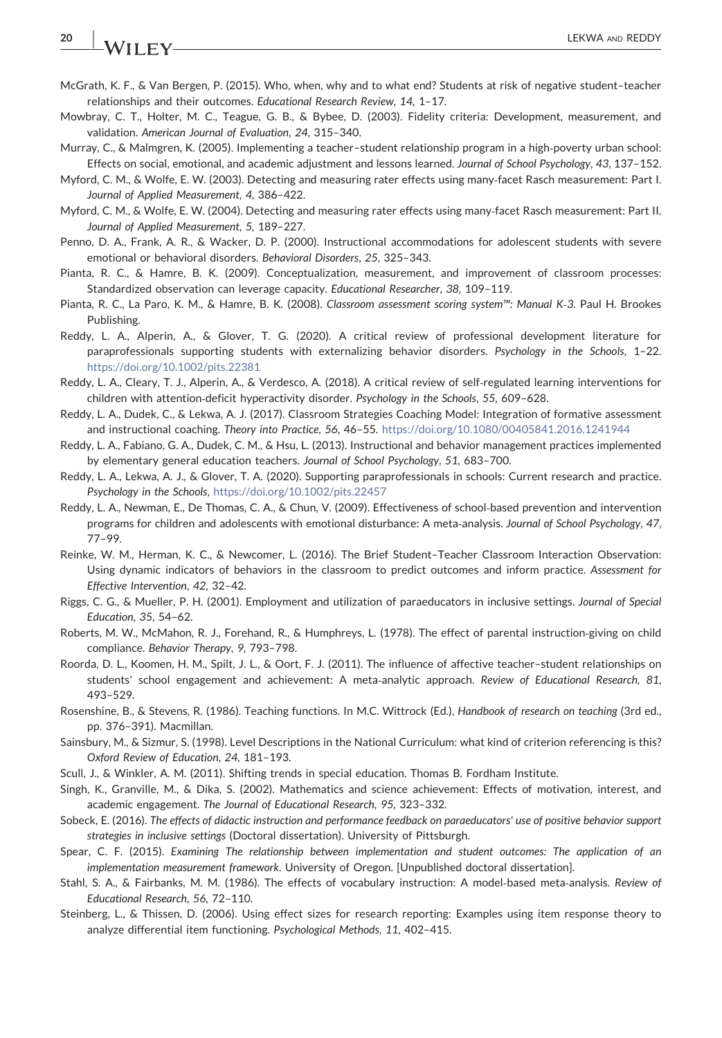# 20 | **IA/LIFY** CHARGEDY

- <span id="page-19-20"></span>McGrath, K. F., & Van Bergen, P. (2015). Who, when, why and to what end? Students at risk of negative student–teacher relationships and their outcomes. Educational Research Review, 14, 1–17.
- <span id="page-19-12"></span>Mowbray, C. T., Holter, M. C., Teague, G. B., & Bybee, D. (2003). Fidelity criteria: Development, measurement, and validation. American Journal of Evaluation, 24, 315–340.
- <span id="page-19-22"></span>Murray, C., & Malmgren, K. (2005). Implementing a teacher–student relationship program in a high‐poverty urban school: Effects on social, emotional, and academic adjustment and lessons learned. Journal of School Psychology, 43, 137–152.
- <span id="page-19-23"></span>Myford, C. M., & Wolfe, E. W. (2003). Detecting and measuring rater effects using many‐facet Rasch measurement: Part I. Journal of Applied Measurement, 4, 386–422.
- <span id="page-19-24"></span>Myford, C. M., & Wolfe, E. W. (2004). Detecting and measuring rater effects using many-facet Rasch measurement: Part II. Journal of Applied Measurement, 5, 189–227.
- <span id="page-19-2"></span>Penno, D. A., Frank, A. R., & Wacker, D. P. (2000). Instructional accommodations for adolescent students with severe emotional or behavioral disorders. Behavioral Disorders, 25, 325–343.
- <span id="page-19-13"></span>Pianta, R. C., & Hamre, B. K. (2009). Conceptualization, measurement, and improvement of classroom processes: Standardized observation can leverage capacity. Educational Researcher, 38, 109–119.
- <span id="page-19-9"></span>Pianta, R. C., La Paro, K. M., & Hamre, B. K. (2008). Classroom assessment scoring system™: Manual K‐3. Paul H. Brookes Publishing.
- <span id="page-19-4"></span>Reddy, L. A., Alperin, A., & Glover, T. G. (2020). A critical review of professional development literature for paraprofessionals supporting students with externalizing behavior disorders. Psychology in the Schools, 1–22. <https://doi.org/10.1002/pits.22381>
- <span id="page-19-15"></span>Reddy, L. A., Cleary, T. J., Alperin, A., & Verdesco, A. (2018). A critical review of self‐regulated learning interventions for children with attention-deficit hyperactivity disorder. Psychology in the Schools, 55, 609-628.
- <span id="page-19-10"></span>Reddy, L. A., Dudek, C., & Lekwa, A. J. (2017). Classroom Strategies Coaching Model: Integration of formative assessment and instructional coaching. Theory into Practice, 56, 46–55. <https://doi.org/10.1080/00405841.2016.1241944>
- <span id="page-19-19"></span>Reddy, L. A., Fabiano, G. A., Dudek, C. M., & Hsu, L. (2013). Instructional and behavior management practices implemented by elementary general education teachers. Journal of School Psychology, 51, 683–700.
- <span id="page-19-5"></span>Reddy, L. A., Lekwa, A. J., & Glover, T. A. (2020). Supporting paraprofessionals in schools: Current research and practice. Psychology in the Schools, <https://doi.org/10.1002/pits.22457>
- <span id="page-19-6"></span>Reddy, L. A., Newman, E., De Thomas, C. A., & Chun, V. (2009). Effectiveness of school‐based prevention and intervention programs for children and adolescents with emotional disturbance: A meta-analysis. Journal of School Psychology, 47, 77–99.
- <span id="page-19-14"></span>Reinke, W. M., Herman, K. C., & Newcomer, L. (2016). The Brief Student–Teacher Classroom Interaction Observation: Using dynamic indicators of behaviors in the classroom to predict outcomes and inform practice. Assessment for Effective Intervention, 42, 32–42.
- <span id="page-19-1"></span>Riggs, C. G., & Mueller, P. H. (2001). Employment and utilization of paraeducators in inclusive settings. Journal of Special Education, 35, 54–62.
- <span id="page-19-17"></span>Roberts, M. W., McMahon, R. J., Forehand, R., & Humphreys, L. (1978). The effect of parental instruction‐giving on child compliance. Behavior Therapy, 9, 793–798.
- <span id="page-19-21"></span>Roorda, D. L., Koomen, H. M., Spilt, J. L., & Oort, F. J. (2011). The influence of affective teacher–student relationships on students' school engagement and achievement: A meta‐analytic approach. Review of Educational Research, 81, 493–529.
- <span id="page-19-11"></span>Rosenshine, B., & Stevens, R. (1986). Teaching functions. In M.C. Wittrock (Ed.), Handbook of research on teaching (3rd ed., pp. 376–391). Macmillan.
- <span id="page-19-7"></span>Sainsbury, M., & Sizmur, S. (1998). Level Descriptions in the National Curriculum: what kind of criterion referencing is this? Oxford Review of Education, 24, 181–193.
- <span id="page-19-0"></span>Scull, J., & Winkler, A. M. (2011). Shifting trends in special education. Thomas B. Fordham Institute.
- <span id="page-19-16"></span>Singh, K., Granville, M., & Dika, S. (2002). Mathematics and science achievement: Effects of motivation, interest, and academic engagement. The Journal of Educational Research, 95, 323–332.
- <span id="page-19-3"></span>Sobeck, E. (2016). The effects of didactic instruction and performance feedback on paraeducators' use of positive behavior support strategies in inclusive settings (Doctoral dissertation). University of Pittsburgh.
- <span id="page-19-8"></span>Spear, C. F. (2015). Examining The relationship between implementation and student outcomes: The application of an implementation measurement framework. University of Oregon. [Unpublished doctoral dissertation].
- <span id="page-19-18"></span>Stahl, S. A., & Fairbanks, M. M. (1986). The effects of vocabulary instruction: A model‐based meta‐analysis. Review of Educational Research, 56, 72–110.
- <span id="page-19-25"></span>Steinberg, L., & Thissen, D. (2006). Using effect sizes for research reporting: Examples using item response theory to analyze differential item functioning. Psychological Methods, 11, 402–415.